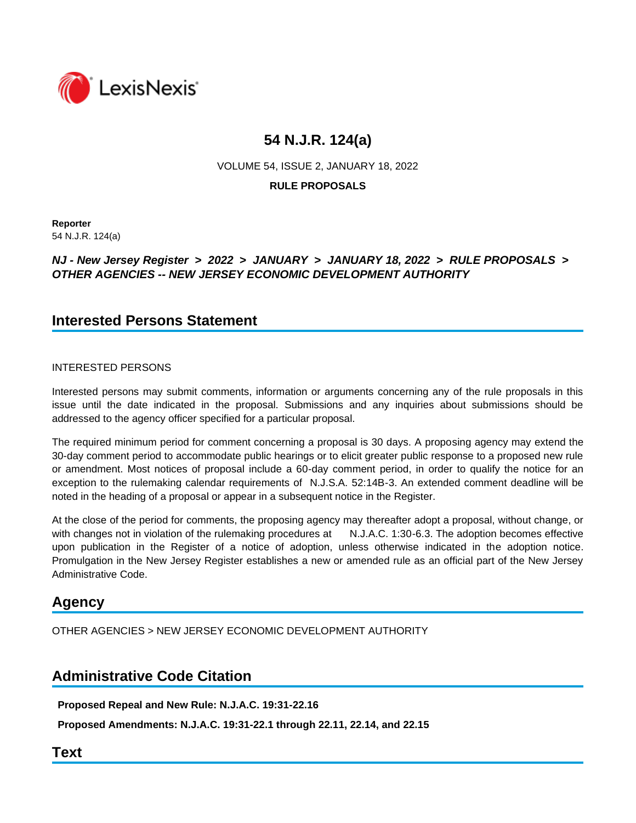

VOLUME 54, ISSUE 2, JANUARY 18, 2022

**RULE PROPOSALS**

**Reporter** 54 N.J.R. 124(a)

# *NJ - New Jersey Register* **>** *2022* **>** *JANUARY* **>** *JANUARY 18, 2022* **>** *RULE PROPOSALS* **>**  *OTHER AGENCIES -- NEW JERSEY ECONOMIC DEVELOPMENT AUTHORITY*

# **Interested Persons Statement**

# INTERESTED PERSONS

Interested persons may submit comments, information or arguments concerning any of the rule proposals in this issue until the date indicated in the proposal. Submissions and any inquiries about submissions should be addressed to the agency officer specified for a particular proposal.

The required minimum period for comment concerning a proposal is 30 days. A proposing agency may extend the 30-day comment period to accommodate public hearings or to elicit greater public response to a proposed new rule or amendment. Most notices of proposal include a 60-day comment period, in order to qualify the notice for an exception to the rulemaking calendar requirements of N.J.S.A. 52:14B-3. An extended comment deadline will be noted in the heading of a proposal or appear in a subsequent notice in the Register.

At the close of the period for comments, the proposing agency may thereafter adopt a proposal, without change, or with changes not in violation of the rulemaking procedures at N.J.A.C. 1:30-6.3. The adoption becomes effective upon publication in the Register of a notice of adoption, unless otherwise indicated in the adoption notice. Promulgation in the New Jersey Register establishes a new or amended rule as an official part of the New Jersey Administrative Code.

# **Agency**

OTHER AGENCIES > NEW JERSEY ECONOMIC DEVELOPMENT AUTHORITY

# **Administrative Code Citation**

**Proposed Repeal and New Rule: N.J.A.C. 19:31-22.16**

**Proposed Amendments: N.J.A.C. 19:31-22.1 through 22.11, 22.14, and 22.15**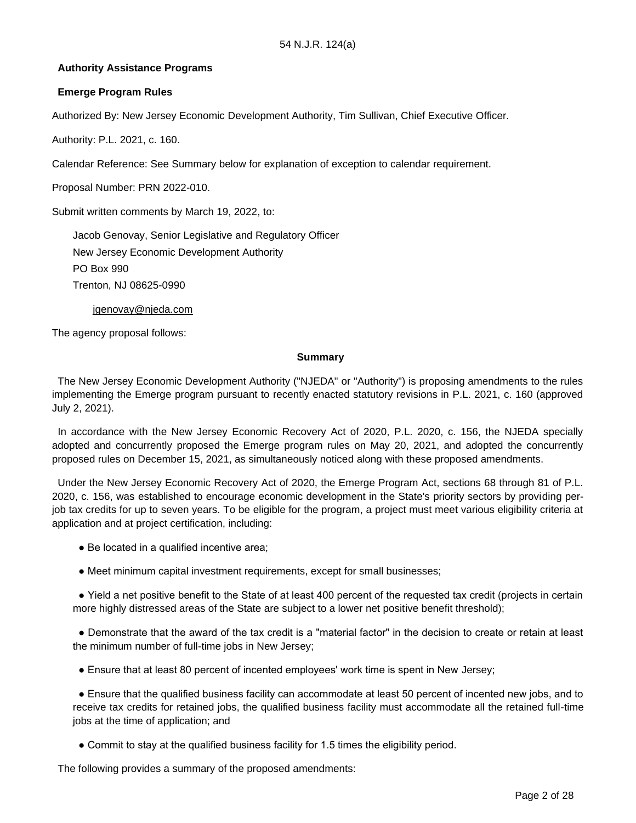## **Authority Assistance Programs**

### **Emerge Program Rules**

Authorized By: New Jersey Economic Development Authority, Tim Sullivan, Chief Executive Officer.

Authority: P.L. 2021, c. 160.

Calendar Reference: See Summary below for explanation of exception to calendar requirement.

Proposal Number: PRN 2022-010.

Submit written comments by March 19, 2022, to:

Jacob Genovay, Senior Legislative and Regulatory Officer New Jersey Economic Development Authority PO Box 990 Trenton, NJ 08625-0990

jgenovay@njeda.com

The agency proposal follows:

#### **Summary**

 The New Jersey Economic Development Authority ("NJEDA" or "Authority") is proposing amendments to the rules implementing the Emerge program pursuant to recently enacted statutory revisions in P.L. 2021, c. 160 (approved July 2, 2021).

 In accordance with the New Jersey Economic Recovery Act of 2020, P.L. 2020, c. 156, the NJEDA specially adopted and concurrently proposed the Emerge program rules on May 20, 2021, and adopted the concurrently proposed rules on December 15, 2021, as simultaneously noticed along with these proposed amendments.

 Under the New Jersey Economic Recovery Act of 2020, the Emerge Program Act, sections 68 through 81 of P.L. 2020, c. 156, was established to encourage economic development in the State's priority sectors by providing perjob tax credits for up to seven years. To be eligible for the program, a project must meet various eligibility criteria at application and at project certification, including:

- Be located in a qualified incentive area;
- Meet minimum capital investment requirements, except for small businesses;

 ● Yield a net positive benefit to the State of at least 400 percent of the requested tax credit (projects in certain more highly distressed areas of the State are subject to a lower net positive benefit threshold);

 ● Demonstrate that the award of the tax credit is a "material factor" in the decision to create or retain at least the minimum number of full-time jobs in New Jersey;

● Ensure that at least 80 percent of incented employees' work time is spent in New Jersey;

 ● Ensure that the qualified business facility can accommodate at least 50 percent of incented new jobs, and to receive tax credits for retained jobs, the qualified business facility must accommodate all the retained full-time jobs at the time of application; and

● Commit to stay at the qualified business facility for 1.5 times the eligibility period.

The following provides a summary of the proposed amendments: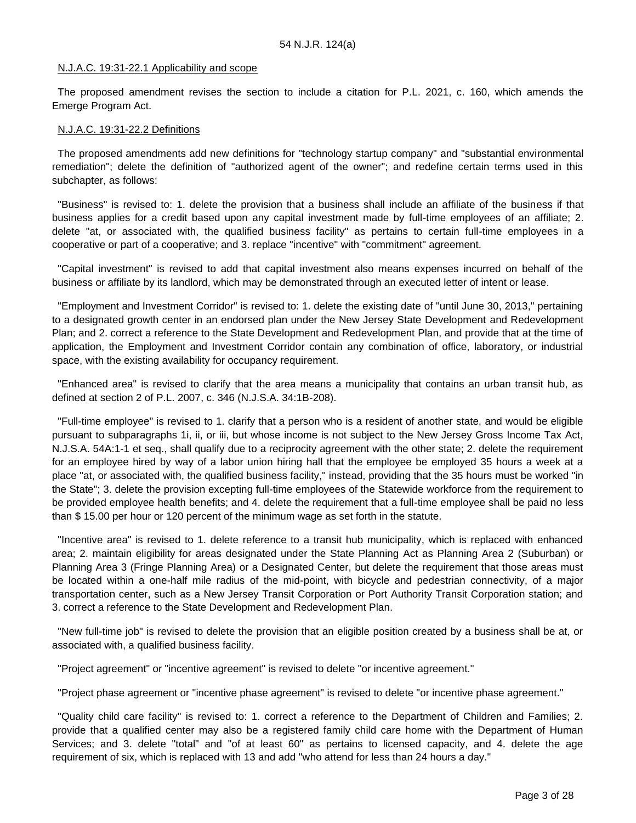#### N.J.A.C. 19:31-22.1 Applicability and scope

 The proposed amendment revises the section to include a citation for P.L. 2021, c. 160, which amends the Emerge Program Act.

#### N.J.A.C. 19:31-22.2 Definitions

 The proposed amendments add new definitions for "technology startup company" and "substantial environmental remediation"; delete the definition of "authorized agent of the owner"; and redefine certain terms used in this subchapter, as follows:

 "Business" is revised to: 1. delete the provision that a business shall include an affiliate of the business if that business applies for a credit based upon any capital investment made by full-time employees of an affiliate; 2. delete "at, or associated with, the qualified business facility" as pertains to certain full-time employees in a cooperative or part of a cooperative; and 3. replace "incentive" with "commitment" agreement.

 "Capital investment" is revised to add that capital investment also means expenses incurred on behalf of the business or affiliate by its landlord, which may be demonstrated through an executed letter of intent or lease.

 "Employment and Investment Corridor" is revised to: 1. delete the existing date of "until June 30, 2013," pertaining to a designated growth center in an endorsed plan under the New Jersey State Development and Redevelopment Plan; and 2. correct a reference to the State Development and Redevelopment Plan, and provide that at the time of application, the Employment and Investment Corridor contain any combination of office, laboratory, or industrial space, with the existing availability for occupancy requirement.

 "Enhanced area" is revised to clarify that the area means a municipality that contains an urban transit hub, as defined at section 2 of P.L. 2007, c. 346 (N.J.S.A. 34:1B-208).

 "Full-time employee" is revised to 1. clarify that a person who is a resident of another state, and would be eligible pursuant to subparagraphs 1i, ii, or iii, but whose income is not subject to the New Jersey Gross Income Tax Act, N.J.S.A. 54A:1-1 et seq., shall qualify due to a reciprocity agreement with the other state; 2. delete the requirement for an employee hired by way of a labor union hiring hall that the employee be employed 35 hours a week at a place "at, or associated with, the qualified business facility," instead, providing that the 35 hours must be worked "in the State"; 3. delete the provision excepting full-time employees of the Statewide workforce from the requirement to be provided employee health benefits; and 4. delete the requirement that a full-time employee shall be paid no less than \$ 15.00 per hour or 120 percent of the minimum wage as set forth in the statute.

 "Incentive area" is revised to 1. delete reference to a transit hub municipality, which is replaced with enhanced area; 2. maintain eligibility for areas designated under the State Planning Act as Planning Area 2 (Suburban) or Planning Area 3 (Fringe Planning Area) or a Designated Center, but delete the requirement that those areas must be located within a one-half mile radius of the mid-point, with bicycle and pedestrian connectivity, of a major transportation center, such as a New Jersey Transit Corporation or Port Authority Transit Corporation station; and 3. correct a reference to the State Development and Redevelopment Plan.

 "New full-time job" is revised to delete the provision that an eligible position created by a business shall be at, or associated with, a qualified business facility.

"Project agreement" or "incentive agreement" is revised to delete "or incentive agreement."

"Project phase agreement or "incentive phase agreement" is revised to delete "or incentive phase agreement."

 "Quality child care facility" is revised to: 1. correct a reference to the Department of Children and Families; 2. provide that a qualified center may also be a registered family child care home with the Department of Human Services; and 3. delete "total" and "of at least 60" as pertains to licensed capacity, and 4. delete the age requirement of six, which is replaced with 13 and add "who attend for less than 24 hours a day."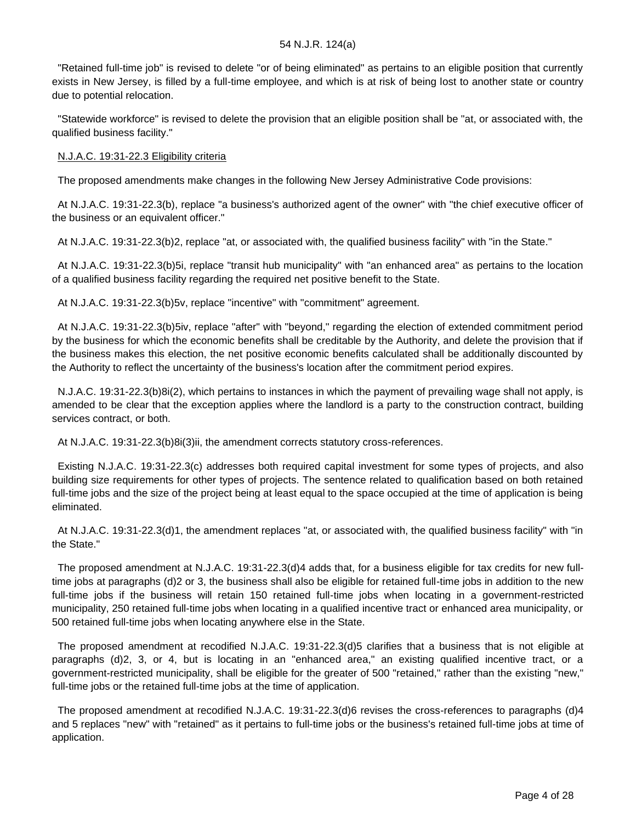"Retained full-time job" is revised to delete "or of being eliminated" as pertains to an eligible position that currently exists in New Jersey, is filled by a full-time employee, and which is at risk of being lost to another state or country due to potential relocation.

 "Statewide workforce" is revised to delete the provision that an eligible position shall be "at, or associated with, the qualified business facility."

#### N.J.A.C. 19:31-22.3 Eligibility criteria

The proposed amendments make changes in the following New Jersey Administrative Code provisions:

 At N.J.A.C. 19:31-22.3(b), replace "a business's authorized agent of the owner" with "the chief executive officer of the business or an equivalent officer."

At N.J.A.C. 19:31-22.3(b)2, replace "at, or associated with, the qualified business facility" with "in the State."

 At N.J.A.C. 19:31-22.3(b)5i, replace "transit hub municipality" with "an enhanced area" as pertains to the location of a qualified business facility regarding the required net positive benefit to the State.

At N.J.A.C. 19:31-22.3(b)5v, replace "incentive" with "commitment" agreement.

 At N.J.A.C. 19:31-22.3(b)5iv, replace "after" with "beyond," regarding the election of extended commitment period by the business for which the economic benefits shall be creditable by the Authority, and delete the provision that if the business makes this election, the net positive economic benefits calculated shall be additionally discounted by the Authority to reflect the uncertainty of the business's location after the commitment period expires.

 N.J.A.C. 19:31-22.3(b)8i(2), which pertains to instances in which the payment of prevailing wage shall not apply, is amended to be clear that the exception applies where the landlord is a party to the construction contract, building services contract, or both.

At N.J.A.C. 19:31-22.3(b)8i(3)ii, the amendment corrects statutory cross-references.

 Existing N.J.A.C. 19:31-22.3(c) addresses both required capital investment for some types of projects, and also building size requirements for other types of projects. The sentence related to qualification based on both retained full-time jobs and the size of the project being at least equal to the space occupied at the time of application is being eliminated.

 At N.J.A.C. 19:31-22.3(d)1, the amendment replaces "at, or associated with, the qualified business facility" with "in the State."

 The proposed amendment at N.J.A.C. 19:31-22.3(d)4 adds that, for a business eligible for tax credits for new fulltime jobs at paragraphs (d)2 or 3, the business shall also be eligible for retained full-time jobs in addition to the new full-time jobs if the business will retain 150 retained full-time jobs when locating in a government-restricted municipality, 250 retained full-time jobs when locating in a qualified incentive tract or enhanced area municipality, or 500 retained full-time jobs when locating anywhere else in the State.

 The proposed amendment at recodified N.J.A.C. 19:31-22.3(d)5 clarifies that a business that is not eligible at paragraphs (d)2, 3, or 4, but is locating in an "enhanced area," an existing qualified incentive tract, or a government-restricted municipality, shall be eligible for the greater of 500 "retained," rather than the existing "new," full-time jobs or the retained full-time jobs at the time of application.

 The proposed amendment at recodified N.J.A.C. 19:31-22.3(d)6 revises the cross-references to paragraphs (d)4 and 5 replaces "new" with "retained" as it pertains to full-time jobs or the business's retained full-time jobs at time of application.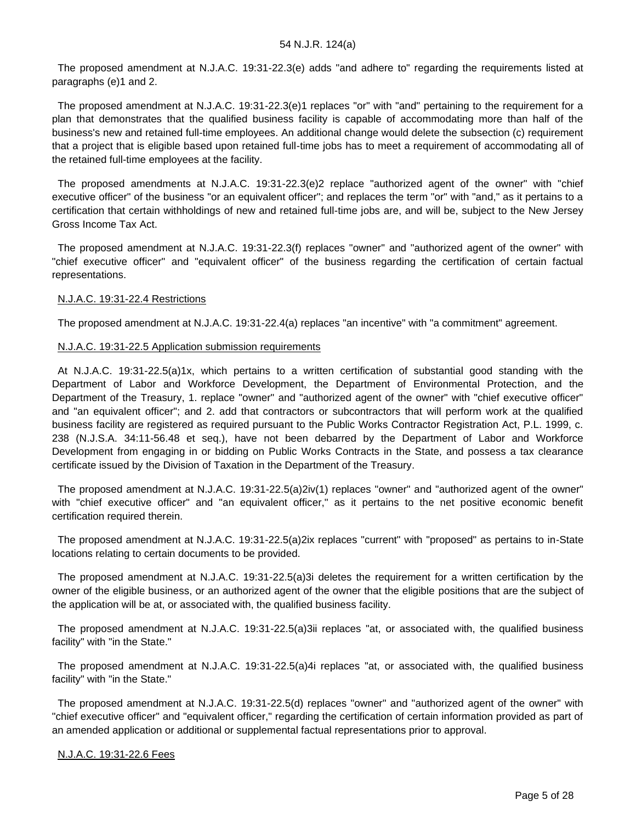The proposed amendment at N.J.A.C. 19:31-22.3(e) adds "and adhere to" regarding the requirements listed at paragraphs (e)1 and 2.

 The proposed amendment at N.J.A.C. 19:31-22.3(e)1 replaces "or" with "and" pertaining to the requirement for a plan that demonstrates that the qualified business facility is capable of accommodating more than half of the business's new and retained full-time employees. An additional change would delete the subsection (c) requirement that a project that is eligible based upon retained full-time jobs has to meet a requirement of accommodating all of the retained full-time employees at the facility.

 The proposed amendments at N.J.A.C. 19:31-22.3(e)2 replace "authorized agent of the owner" with "chief executive officer" of the business "or an equivalent officer"; and replaces the term "or" with "and," as it pertains to a certification that certain withholdings of new and retained full-time jobs are, and will be, subject to the New Jersey Gross Income Tax Act.

 The proposed amendment at N.J.A.C. 19:31-22.3(f) replaces "owner" and "authorized agent of the owner" with "chief executive officer" and "equivalent officer" of the business regarding the certification of certain factual representations.

#### N.J.A.C. 19:31-22.4 Restrictions

The proposed amendment at N.J.A.C. 19:31-22.4(a) replaces "an incentive" with "a commitment" agreement.

## N.J.A.C. 19:31-22.5 Application submission requirements

 At N.J.A.C. 19:31-22.5(a)1x, which pertains to a written certification of substantial good standing with the Department of Labor and Workforce Development, the Department of Environmental Protection, and the Department of the Treasury, 1. replace "owner" and "authorized agent of the owner" with "chief executive officer" and "an equivalent officer"; and 2. add that contractors or subcontractors that will perform work at the qualified business facility are registered as required pursuant to the Public Works Contractor Registration Act, P.L. 1999, c. 238 (N.J.S.A. 34:11-56.48 et seq.), have not been debarred by the Department of Labor and Workforce Development from engaging in or bidding on Public Works Contracts in the State, and possess a tax clearance certificate issued by the Division of Taxation in the Department of the Treasury.

 The proposed amendment at N.J.A.C. 19:31-22.5(a)2iv(1) replaces "owner" and "authorized agent of the owner" with "chief executive officer" and "an equivalent officer," as it pertains to the net positive economic benefit certification required therein.

 The proposed amendment at N.J.A.C. 19:31-22.5(a)2ix replaces "current" with "proposed" as pertains to in-State locations relating to certain documents to be provided.

 The proposed amendment at N.J.A.C. 19:31-22.5(a)3i deletes the requirement for a written certification by the owner of the eligible business, or an authorized agent of the owner that the eligible positions that are the subject of the application will be at, or associated with, the qualified business facility.

 The proposed amendment at N.J.A.C. 19:31-22.5(a)3ii replaces "at, or associated with, the qualified business facility" with "in the State."

 The proposed amendment at N.J.A.C. 19:31-22.5(a)4i replaces "at, or associated with, the qualified business facility" with "in the State."

 The proposed amendment at N.J.A.C. 19:31-22.5(d) replaces "owner" and "authorized agent of the owner" with "chief executive officer" and "equivalent officer," regarding the certification of certain information provided as part of an amended application or additional or supplemental factual representations prior to approval.

#### N.J.A.C. 19:31-22.6 Fees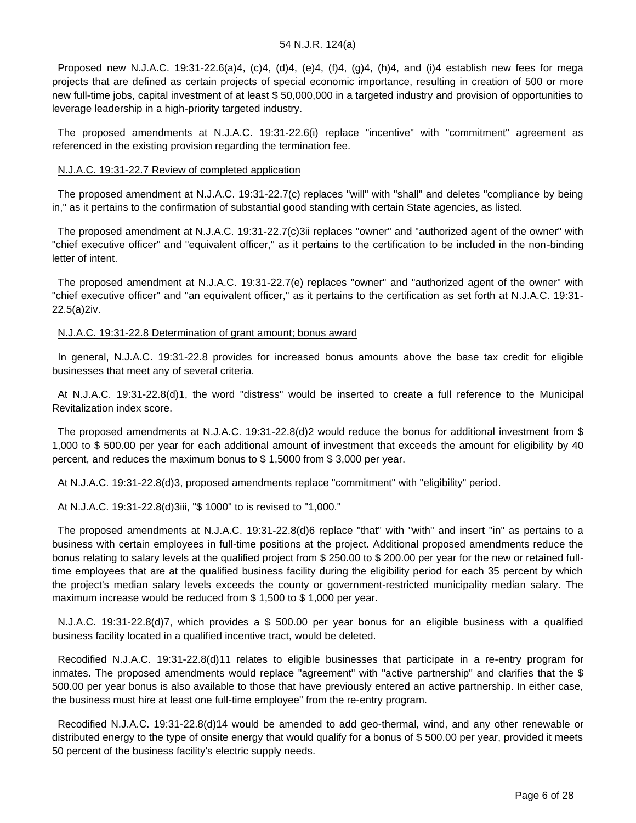Proposed new N.J.A.C. 19:31-22.6(a)4, (c)4, (d)4, (e)4, (f)4, (g)4, (h)4, and (i)4 establish new fees for mega projects that are defined as certain projects of special economic importance, resulting in creation of 500 or more new full-time jobs, capital investment of at least \$ 50,000,000 in a targeted industry and provision of opportunities to leverage leadership in a high-priority targeted industry.

 The proposed amendments at N.J.A.C. 19:31-22.6(i) replace "incentive" with "commitment" agreement as referenced in the existing provision regarding the termination fee.

#### N.J.A.C. 19:31-22.7 Review of completed application

 The proposed amendment at N.J.A.C. 19:31-22.7(c) replaces "will" with "shall" and deletes "compliance by being in," as it pertains to the confirmation of substantial good standing with certain State agencies, as listed.

 The proposed amendment at N.J.A.C. 19:31-22.7(c)3ii replaces "owner" and "authorized agent of the owner" with "chief executive officer" and "equivalent officer," as it pertains to the certification to be included in the non-binding letter of intent.

 The proposed amendment at N.J.A.C. 19:31-22.7(e) replaces "owner" and "authorized agent of the owner" with "chief executive officer" and "an equivalent officer," as it pertains to the certification as set forth at N.J.A.C. 19:31- 22.5(a)2iv.

#### N.J.A.C. 19:31-22.8 Determination of grant amount; bonus award

 In general, N.J.A.C. 19:31-22.8 provides for increased bonus amounts above the base tax credit for eligible businesses that meet any of several criteria.

 At N.J.A.C. 19:31-22.8(d)1, the word "distress" would be inserted to create a full reference to the Municipal Revitalization index score.

 The proposed amendments at N.J.A.C. 19:31-22.8(d)2 would reduce the bonus for additional investment from \$ 1,000 to \$ 500.00 per year for each additional amount of investment that exceeds the amount for eligibility by 40 percent, and reduces the maximum bonus to \$ 1,5000 from \$ 3,000 per year.

At N.J.A.C. 19:31-22.8(d)3, proposed amendments replace "commitment" with "eligibility" period.

At N.J.A.C. 19:31-22.8(d)3iii, "\$ 1000" to is revised to "1,000."

 The proposed amendments at N.J.A.C. 19:31-22.8(d)6 replace "that" with "with" and insert "in" as pertains to a business with certain employees in full-time positions at the project. Additional proposed amendments reduce the bonus relating to salary levels at the qualified project from \$ 250.00 to \$ 200.00 per year for the new or retained fulltime employees that are at the qualified business facility during the eligibility period for each 35 percent by which the project's median salary levels exceeds the county or government-restricted municipality median salary. The maximum increase would be reduced from \$ 1,500 to \$ 1,000 per year.

 N.J.A.C. 19:31-22.8(d)7, which provides a \$ 500.00 per year bonus for an eligible business with a qualified business facility located in a qualified incentive tract, would be deleted.

 Recodified N.J.A.C. 19:31-22.8(d)11 relates to eligible businesses that participate in a re-entry program for inmates. The proposed amendments would replace "agreement" with "active partnership" and clarifies that the \$ 500.00 per year bonus is also available to those that have previously entered an active partnership. In either case, the business must hire at least one full-time employee" from the re-entry program.

 Recodified N.J.A.C. 19:31-22.8(d)14 would be amended to add geo-thermal, wind, and any other renewable or distributed energy to the type of onsite energy that would qualify for a bonus of \$ 500.00 per year, provided it meets 50 percent of the business facility's electric supply needs.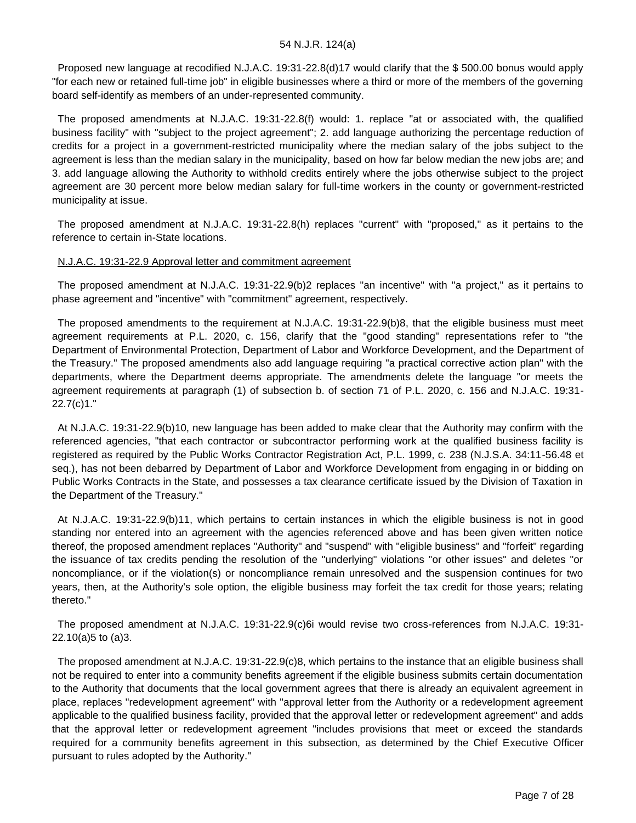Proposed new language at recodified N.J.A.C. 19:31-22.8(d)17 would clarify that the \$ 500.00 bonus would apply "for each new or retained full-time job" in eligible businesses where a third or more of the members of the governing board self-identify as members of an under-represented community.

 The proposed amendments at N.J.A.C. 19:31-22.8(f) would: 1. replace "at or associated with, the qualified business facility" with "subject to the project agreement"; 2. add language authorizing the percentage reduction of credits for a project in a government-restricted municipality where the median salary of the jobs subject to the agreement is less than the median salary in the municipality, based on how far below median the new jobs are; and 3. add language allowing the Authority to withhold credits entirely where the jobs otherwise subject to the project agreement are 30 percent more below median salary for full-time workers in the county or government-restricted municipality at issue.

 The proposed amendment at N.J.A.C. 19:31-22.8(h) replaces "current" with "proposed," as it pertains to the reference to certain in-State locations.

#### N.J.A.C. 19:31-22.9 Approval letter and commitment agreement

 The proposed amendment at N.J.A.C. 19:31-22.9(b)2 replaces "an incentive" with "a project," as it pertains to phase agreement and "incentive" with "commitment" agreement, respectively.

 The proposed amendments to the requirement at N.J.A.C. 19:31-22.9(b)8, that the eligible business must meet agreement requirements at P.L. 2020, c. 156, clarify that the "good standing" representations refer to "the Department of Environmental Protection, Department of Labor and Workforce Development, and the Department of the Treasury." The proposed amendments also add language requiring "a practical corrective action plan" with the departments, where the Department deems appropriate. The amendments delete the language "or meets the agreement requirements at paragraph (1) of subsection b. of section 71 of P.L. 2020, c. 156 and N.J.A.C. 19:31- 22.7(c)1."

 At N.J.A.C. 19:31-22.9(b)10, new language has been added to make clear that the Authority may confirm with the referenced agencies, "that each contractor or subcontractor performing work at the qualified business facility is registered as required by the Public Works Contractor Registration Act, P.L. 1999, c. 238 (N.J.S.A. 34:11-56.48 et seq.), has not been debarred by Department of Labor and Workforce Development from engaging in or bidding on Public Works Contracts in the State, and possesses a tax clearance certificate issued by the Division of Taxation in the Department of the Treasury."

 At N.J.A.C. 19:31-22.9(b)11, which pertains to certain instances in which the eligible business is not in good standing nor entered into an agreement with the agencies referenced above and has been given written notice thereof, the proposed amendment replaces "Authority" and "suspend" with "eligible business" and "forfeit" regarding the issuance of tax credits pending the resolution of the "underlying" violations "or other issues" and deletes "or noncompliance, or if the violation(s) or noncompliance remain unresolved and the suspension continues for two years, then, at the Authority's sole option, the eligible business may forfeit the tax credit for those years; relating thereto."

 The proposed amendment at N.J.A.C. 19:31-22.9(c)6i would revise two cross-references from N.J.A.C. 19:31- 22.10(a)5 to (a)3.

 The proposed amendment at N.J.A.C. 19:31-22.9(c)8, which pertains to the instance that an eligible business shall not be required to enter into a community benefits agreement if the eligible business submits certain documentation to the Authority that documents that the local government agrees that there is already an equivalent agreement in place, replaces "redevelopment agreement" with "approval letter from the Authority or a redevelopment agreement applicable to the qualified business facility, provided that the approval letter or redevelopment agreement" and adds that the approval letter or redevelopment agreement "includes provisions that meet or exceed the standards required for a community benefits agreement in this subsection, as determined by the Chief Executive Officer pursuant to rules adopted by the Authority."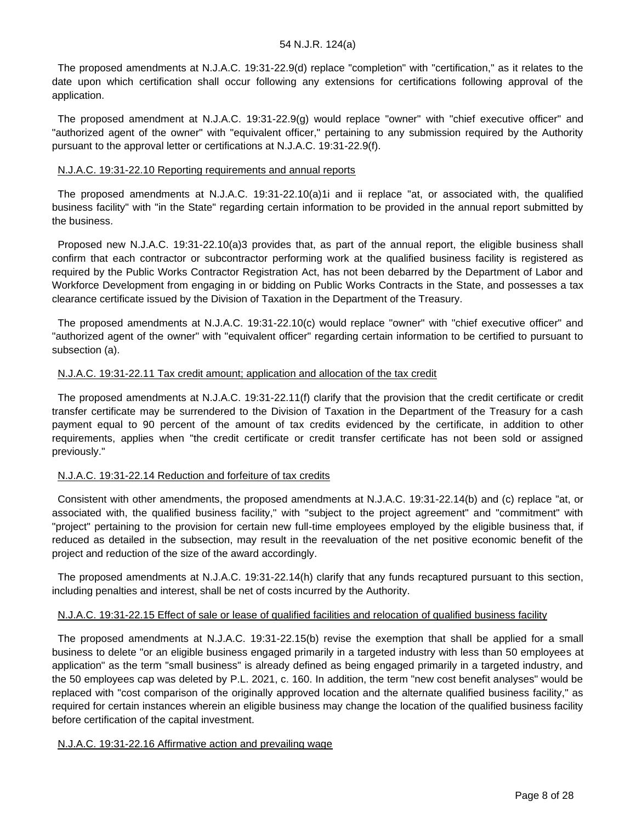The proposed amendments at N.J.A.C. 19:31-22.9(d) replace "completion" with "certification," as it relates to the date upon which certification shall occur following any extensions for certifications following approval of the application.

 The proposed amendment at N.J.A.C. 19:31-22.9(g) would replace "owner" with "chief executive officer" and "authorized agent of the owner" with "equivalent officer," pertaining to any submission required by the Authority pursuant to the approval letter or certifications at N.J.A.C. 19:31-22.9(f).

### N.J.A.C. 19:31-22.10 Reporting requirements and annual reports

 The proposed amendments at N.J.A.C. 19:31-22.10(a)1i and ii replace "at, or associated with, the qualified business facility" with "in the State" regarding certain information to be provided in the annual report submitted by the business.

 Proposed new N.J.A.C. 19:31-22.10(a)3 provides that, as part of the annual report, the eligible business shall confirm that each contractor or subcontractor performing work at the qualified business facility is registered as required by the Public Works Contractor Registration Act, has not been debarred by the Department of Labor and Workforce Development from engaging in or bidding on Public Works Contracts in the State, and possesses a tax clearance certificate issued by the Division of Taxation in the Department of the Treasury.

 The proposed amendments at N.J.A.C. 19:31-22.10(c) would replace "owner" with "chief executive officer" and "authorized agent of the owner" with "equivalent officer" regarding certain information to be certified to pursuant to subsection (a).

## N.J.A.C. 19:31-22.11 Tax credit amount; application and allocation of the tax credit

 The proposed amendments at N.J.A.C. 19:31-22.11(f) clarify that the provision that the credit certificate or credit transfer certificate may be surrendered to the Division of Taxation in the Department of the Treasury for a cash payment equal to 90 percent of the amount of tax credits evidenced by the certificate, in addition to other requirements, applies when "the credit certificate or credit transfer certificate has not been sold or assigned previously."

#### N.J.A.C. 19:31-22.14 Reduction and forfeiture of tax credits

 Consistent with other amendments, the proposed amendments at N.J.A.C. 19:31-22.14(b) and (c) replace "at, or associated with, the qualified business facility," with "subject to the project agreement" and "commitment" with "project" pertaining to the provision for certain new full-time employees employed by the eligible business that, if reduced as detailed in the subsection, may result in the reevaluation of the net positive economic benefit of the project and reduction of the size of the award accordingly.

 The proposed amendments at N.J.A.C. 19:31-22.14(h) clarify that any funds recaptured pursuant to this section, including penalties and interest, shall be net of costs incurred by the Authority.

#### N.J.A.C. 19:31-22.15 Effect of sale or lease of qualified facilities and relocation of qualified business facility

The proposed amendments at N.J.A.C. 19:31-22.15(b) revise the exemption that shall be applied for a small business to delete "or an eligible business engaged primarily in a targeted industry with less than 50 employees at application" as the term "small business" is already defined as being engaged primarily in a targeted industry, and the 50 employees cap was deleted by P.L. 2021, c. 160. In addition, the term "new cost benefit analyses" would be replaced with "cost comparison of the originally approved location and the alternate qualified business facility," as required for certain instances wherein an eligible business may change the location of the qualified business facility before certification of the capital investment.

#### N.J.A.C. 19:31-22.16 Affirmative action and prevailing wage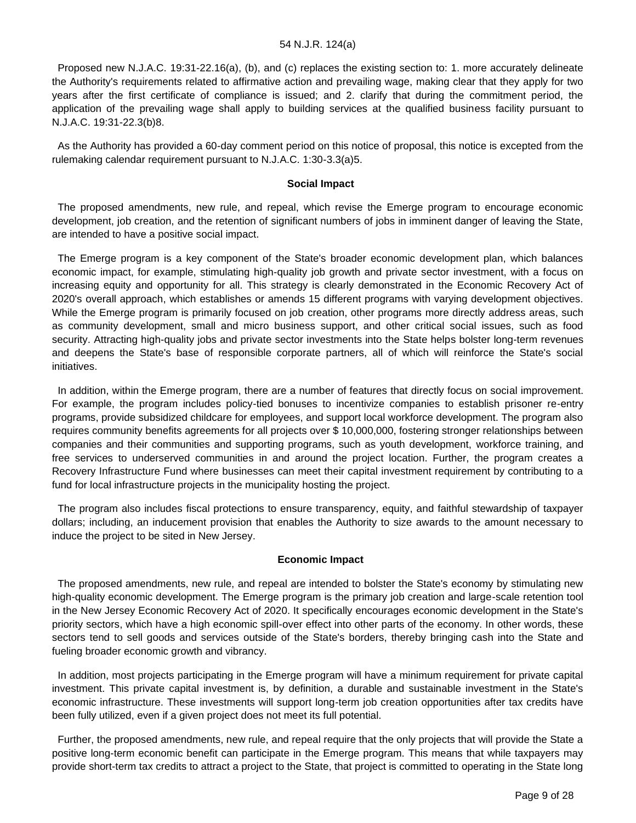Proposed new N.J.A.C. 19:31-22.16(a), (b), and (c) replaces the existing section to: 1. more accurately delineate the Authority's requirements related to affirmative action and prevailing wage, making clear that they apply for two years after the first certificate of compliance is issued; and 2. clarify that during the commitment period, the application of the prevailing wage shall apply to building services at the qualified business facility pursuant to N.J.A.C. 19:31-22.3(b)8.

 As the Authority has provided a 60-day comment period on this notice of proposal, this notice is excepted from the rulemaking calendar requirement pursuant to N.J.A.C. 1:30-3.3(a)5.

#### **Social Impact**

 The proposed amendments, new rule, and repeal, which revise the Emerge program to encourage economic development, job creation, and the retention of significant numbers of jobs in imminent danger of leaving the State, are intended to have a positive social impact.

 The Emerge program is a key component of the State's broader economic development plan, which balances economic impact, for example, stimulating high-quality job growth and private sector investment, with a focus on increasing equity and opportunity for all. This strategy is clearly demonstrated in the Economic Recovery Act of 2020's overall approach, which establishes or amends 15 different programs with varying development objectives. While the Emerge program is primarily focused on job creation, other programs more directly address areas, such as community development, small and micro business support, and other critical social issues, such as food security. Attracting high-quality jobs and private sector investments into the State helps bolster long-term revenues and deepens the State's base of responsible corporate partners, all of which will reinforce the State's social initiatives.

 In addition, within the Emerge program, there are a number of features that directly focus on social improvement. For example, the program includes policy-tied bonuses to incentivize companies to establish prisoner re-entry programs, provide subsidized childcare for employees, and support local workforce development. The program also requires community benefits agreements for all projects over \$ 10,000,000, fostering stronger relationships between companies and their communities and supporting programs, such as youth development, workforce training, and free services to underserved communities in and around the project location. Further, the program creates a Recovery Infrastructure Fund where businesses can meet their capital investment requirement by contributing to a fund for local infrastructure projects in the municipality hosting the project.

 The program also includes fiscal protections to ensure transparency, equity, and faithful stewardship of taxpayer dollars; including, an inducement provision that enables the Authority to size awards to the amount necessary to induce the project to be sited in New Jersey.

#### **Economic Impact**

 The proposed amendments, new rule, and repeal are intended to bolster the State's economy by stimulating new high-quality economic development. The Emerge program is the primary job creation and large-scale retention tool in the New Jersey Economic Recovery Act of 2020. It specifically encourages economic development in the State's priority sectors, which have a high economic spill-over effect into other parts of the economy. In other words, these sectors tend to sell goods and services outside of the State's borders, thereby bringing cash into the State and fueling broader economic growth and vibrancy.

 In addition, most projects participating in the Emerge program will have a minimum requirement for private capital investment. This private capital investment is, by definition, a durable and sustainable investment in the State's economic infrastructure. These investments will support long-term job creation opportunities after tax credits have been fully utilized, even if a given project does not meet its full potential.

 Further, the proposed amendments, new rule, and repeal require that the only projects that will provide the State a positive long-term economic benefit can participate in the Emerge program. This means that while taxpayers may provide short-term tax credits to attract a project to the State, that project is committed to operating in the State long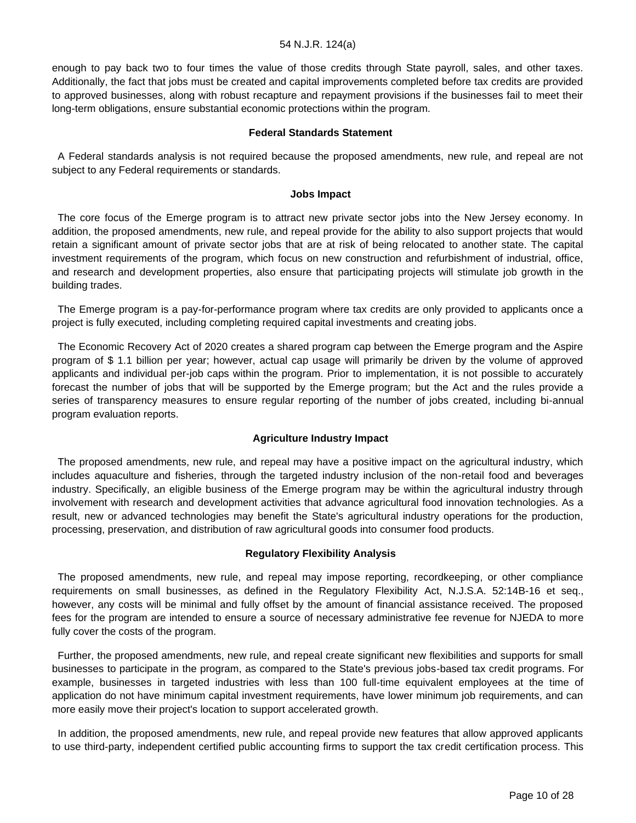enough to pay back two to four times the value of those credits through State payroll, sales, and other taxes. Additionally, the fact that jobs must be created and capital improvements completed before tax credits are provided to approved businesses, along with robust recapture and repayment provisions if the businesses fail to meet their long-term obligations, ensure substantial economic protections within the program.

#### **Federal Standards Statement**

 A Federal standards analysis is not required because the proposed amendments, new rule, and repeal are not subject to any Federal requirements or standards.

#### **Jobs Impact**

 The core focus of the Emerge program is to attract new private sector jobs into the New Jersey economy. In addition, the proposed amendments, new rule, and repeal provide for the ability to also support projects that would retain a significant amount of private sector jobs that are at risk of being relocated to another state. The capital investment requirements of the program, which focus on new construction and refurbishment of industrial, office, and research and development properties, also ensure that participating projects will stimulate job growth in the building trades.

 The Emerge program is a pay-for-performance program where tax credits are only provided to applicants once a project is fully executed, including completing required capital investments and creating jobs.

 The Economic Recovery Act of 2020 creates a shared program cap between the Emerge program and the Aspire program of \$ 1.1 billion per year; however, actual cap usage will primarily be driven by the volume of approved applicants and individual per-job caps within the program. Prior to implementation, it is not possible to accurately forecast the number of jobs that will be supported by the Emerge program; but the Act and the rules provide a series of transparency measures to ensure regular reporting of the number of jobs created, including bi-annual program evaluation reports.

#### **Agriculture Industry Impact**

 The proposed amendments, new rule, and repeal may have a positive impact on the agricultural industry, which includes aquaculture and fisheries, through the targeted industry inclusion of the non-retail food and beverages industry. Specifically, an eligible business of the Emerge program may be within the agricultural industry through involvement with research and development activities that advance agricultural food innovation technologies. As a result, new or advanced technologies may benefit the State's agricultural industry operations for the production, processing, preservation, and distribution of raw agricultural goods into consumer food products.

#### **Regulatory Flexibility Analysis**

 The proposed amendments, new rule, and repeal may impose reporting, recordkeeping, or other compliance requirements on small businesses, as defined in the Regulatory Flexibility Act, N.J.S.A. 52:14B-16 et seq., however, any costs will be minimal and fully offset by the amount of financial assistance received. The proposed fees for the program are intended to ensure a source of necessary administrative fee revenue for NJEDA to more fully cover the costs of the program.

 Further, the proposed amendments, new rule, and repeal create significant new flexibilities and supports for small businesses to participate in the program, as compared to the State's previous jobs-based tax credit programs. For example, businesses in targeted industries with less than 100 full-time equivalent employees at the time of application do not have minimum capital investment requirements, have lower minimum job requirements, and can more easily move their project's location to support accelerated growth.

 In addition, the proposed amendments, new rule, and repeal provide new features that allow approved applicants to use third-party, independent certified public accounting firms to support the tax credit certification process. This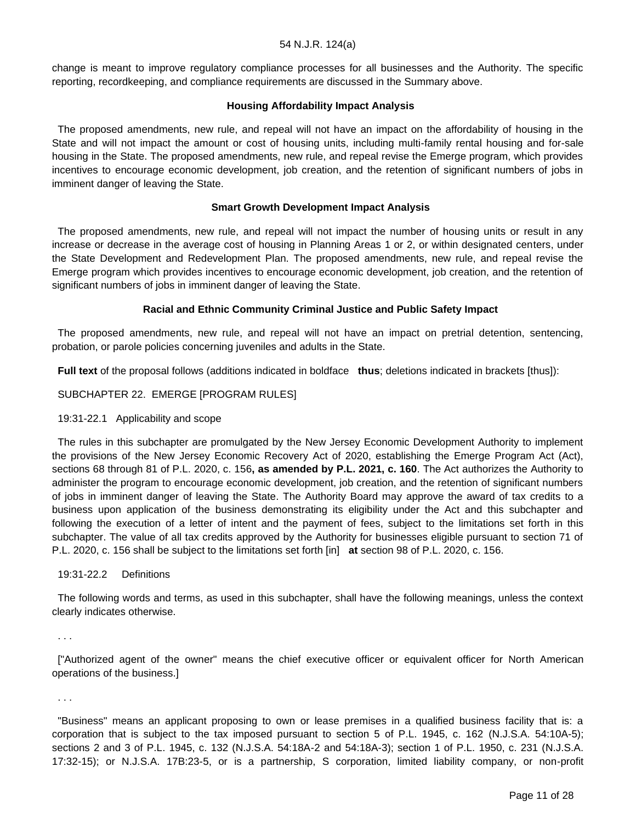change is meant to improve regulatory compliance processes for all businesses and the Authority. The specific reporting, recordkeeping, and compliance requirements are discussed in the Summary above.

#### **Housing Affordability Impact Analysis**

 The proposed amendments, new rule, and repeal will not have an impact on the affordability of housing in the State and will not impact the amount or cost of housing units, including multi-family rental housing and for-sale housing in the State. The proposed amendments, new rule, and repeal revise the Emerge program, which provides incentives to encourage economic development, job creation, and the retention of significant numbers of jobs in imminent danger of leaving the State.

#### **Smart Growth Development Impact Analysis**

 The proposed amendments, new rule, and repeal will not impact the number of housing units or result in any increase or decrease in the average cost of housing in Planning Areas 1 or 2, or within designated centers, under the State Development and Redevelopment Plan. The proposed amendments, new rule, and repeal revise the Emerge program which provides incentives to encourage economic development, job creation, and the retention of significant numbers of jobs in imminent danger of leaving the State.

#### **Racial and Ethnic Community Criminal Justice and Public Safety Impact**

 The proposed amendments, new rule, and repeal will not have an impact on pretrial detention, sentencing, probation, or parole policies concerning juveniles and adults in the State.

**Full text** of the proposal follows (additions indicated in boldface **thus**; deletions indicated in brackets [thus]):

#### SUBCHAPTER 22. EMERGE [PROGRAM RULES]

#### 19:31-22.1 Applicability and scope

 The rules in this subchapter are promulgated by the New Jersey Economic Development Authority to implement the provisions of the New Jersey Economic Recovery Act of 2020, establishing the Emerge Program Act (Act), sections 68 through 81 of P.L. 2020, c. 156**, as amended by P.L. 2021, c. 160**. The Act authorizes the Authority to administer the program to encourage economic development, job creation, and the retention of significant numbers of jobs in imminent danger of leaving the State. The Authority Board may approve the award of tax credits to a business upon application of the business demonstrating its eligibility under the Act and this subchapter and following the execution of a letter of intent and the payment of fees, subject to the limitations set forth in this subchapter. The value of all tax credits approved by the Authority for businesses eligible pursuant to section 71 of P.L. 2020, c. 156 shall be subject to the limitations set forth [in] **at** section 98 of P.L. 2020, c. 156.

#### 19:31-22.2 Definitions

 The following words and terms, as used in this subchapter, shall have the following meanings, unless the context clearly indicates otherwise.

. . .

 ["Authorized agent of the owner" means the chief executive officer or equivalent officer for North American operations of the business.]

. . .

 "Business" means an applicant proposing to own or lease premises in a qualified business facility that is: a corporation that is subject to the tax imposed pursuant to section 5 of P.L. 1945, c. 162 (N.J.S.A. 54:10A-5); sections 2 and 3 of P.L. 1945, c. 132 (N.J.S.A. 54:18A-2 and 54:18A-3); section 1 of P.L. 1950, c. 231 (N.J.S.A. 17:32-15); or N.J.S.A. 17B:23-5, or is a partnership, S corporation, limited liability company, or non-profit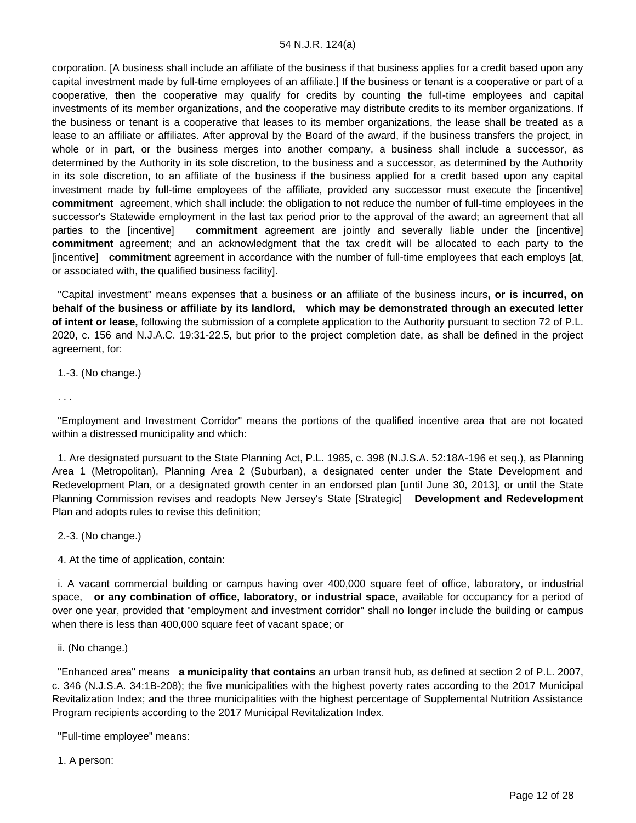corporation. [A business shall include an affiliate of the business if that business applies for a credit based upon any capital investment made by full-time employees of an affiliate.] If the business or tenant is a cooperative or part of a cooperative, then the cooperative may qualify for credits by counting the full-time employees and capital investments of its member organizations, and the cooperative may distribute credits to its member organizations. If the business or tenant is a cooperative that leases to its member organizations, the lease shall be treated as a lease to an affiliate or affiliates. After approval by the Board of the award, if the business transfers the project, in whole or in part, or the business merges into another company, a business shall include a successor, as determined by the Authority in its sole discretion, to the business and a successor, as determined by the Authority in its sole discretion, to an affiliate of the business if the business applied for a credit based upon any capital investment made by full-time employees of the affiliate, provided any successor must execute the [incentive] **commitment** agreement, which shall include: the obligation to not reduce the number of full-time employees in the successor's Statewide employment in the last tax period prior to the approval of the award; an agreement that all parties to the [incentive] **commitment** agreement are jointly and severally liable under the [incentive] **commitment** agreement; and an acknowledgment that the tax credit will be allocated to each party to the [incentive] **commitment** agreement in accordance with the number of full-time employees that each employs [at, or associated with, the qualified business facility].

 "Capital investment" means expenses that a business or an affiliate of the business incurs**, or is incurred, on behalf of the business or affiliate by its landlord, which may be demonstrated through an executed letter of intent or lease,** following the submission of a complete application to the Authority pursuant to section 72 of P.L. 2020, c. 156 and N.J.A.C. 19:31-22.5, but prior to the project completion date, as shall be defined in the project agreement, for:

1.-3. (No change.)

. . .

 "Employment and Investment Corridor" means the portions of the qualified incentive area that are not located within a distressed municipality and which:

 1. Are designated pursuant to the State Planning Act, P.L. 1985, c. 398 (N.J.S.A. 52:18A-196 et seq.), as Planning Area 1 (Metropolitan), Planning Area 2 (Suburban), a designated center under the State Development and Redevelopment Plan, or a designated growth center in an endorsed plan [until June 30, 2013], or until the State Planning Commission revises and readopts New Jersey's State [Strategic] **Development and Redevelopment** Plan and adopts rules to revise this definition;

2.-3. (No change.)

4. At the time of application, contain:

 i. A vacant commercial building or campus having over 400,000 square feet of office, laboratory, or industrial space, **or any combination of office, laboratory, or industrial space,** available for occupancy for a period of over one year, provided that "employment and investment corridor" shall no longer include the building or campus when there is less than 400,000 square feet of vacant space; or

ii. (No change.)

 "Enhanced area" means **a municipality that contains** an urban transit hub**,** as defined at section 2 of P.L. 2007, c. 346 (N.J.S.A. 34:1B-208); the five municipalities with the highest poverty rates according to the 2017 Municipal Revitalization Index; and the three municipalities with the highest percentage of Supplemental Nutrition Assistance Program recipients according to the 2017 Municipal Revitalization Index.

"Full-time employee" means:

1. A person: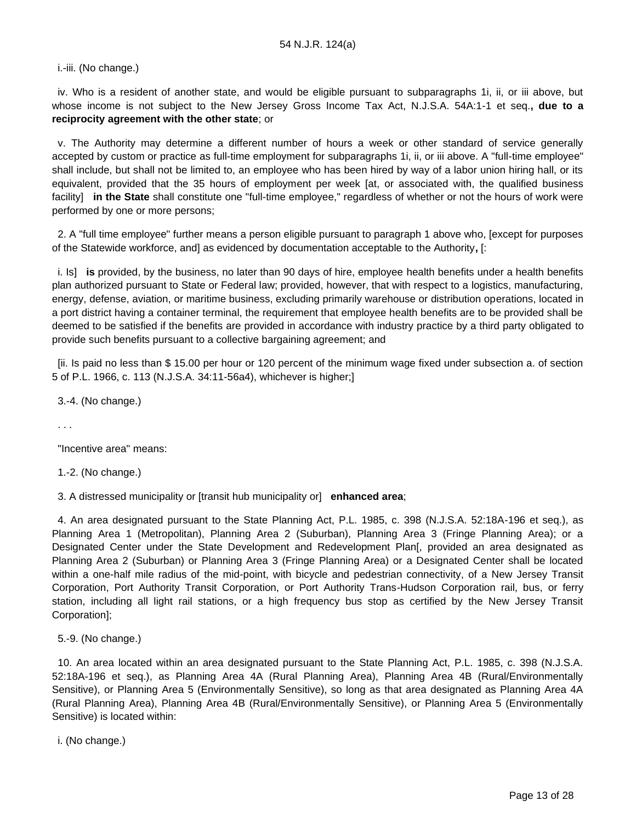i.-iii. (No change.)

 iv. Who is a resident of another state, and would be eligible pursuant to subparagraphs 1i, ii, or iii above, but whose income is not subject to the New Jersey Gross Income Tax Act, N.J.S.A. 54A:1-1 et seq.**, due to a reciprocity agreement with the other state**; or

 v. The Authority may determine a different number of hours a week or other standard of service generally accepted by custom or practice as full-time employment for subparagraphs 1i, ii, or iii above. A "full-time employee" shall include, but shall not be limited to, an employee who has been hired by way of a labor union hiring hall, or its equivalent, provided that the 35 hours of employment per week [at, or associated with, the qualified business facility] **in the State** shall constitute one "full-time employee," regardless of whether or not the hours of work were performed by one or more persons;

 2. A "full time employee" further means a person eligible pursuant to paragraph 1 above who, [except for purposes of the Statewide workforce, and] as evidenced by documentation acceptable to the Authority**,** [:

 i. Is] **is** provided, by the business, no later than 90 days of hire, employee health benefits under a health benefits plan authorized pursuant to State or Federal law; provided, however, that with respect to a logistics, manufacturing, energy, defense, aviation, or maritime business, excluding primarily warehouse or distribution operations, located in a port district having a container terminal, the requirement that employee health benefits are to be provided shall be deemed to be satisfied if the benefits are provided in accordance with industry practice by a third party obligated to provide such benefits pursuant to a collective bargaining agreement; and

 [ii. Is paid no less than \$ 15.00 per hour or 120 percent of the minimum wage fixed under subsection a. of section 5 of P.L. 1966, c. 113 (N.J.S.A. 34:11-56a4), whichever is higher;]

3.-4. (No change.)

. . .

"Incentive area" means:

1.-2. (No change.)

3. A distressed municipality or [transit hub municipality or] **enhanced area**;

 4. An area designated pursuant to the State Planning Act, P.L. 1985, c. 398 (N.J.S.A. 52:18A-196 et seq.), as Planning Area 1 (Metropolitan), Planning Area 2 (Suburban), Planning Area 3 (Fringe Planning Area); or a Designated Center under the State Development and Redevelopment Plan[, provided an area designated as Planning Area 2 (Suburban) or Planning Area 3 (Fringe Planning Area) or a Designated Center shall be located within a one-half mile radius of the mid-point, with bicycle and pedestrian connectivity, of a New Jersey Transit Corporation, Port Authority Transit Corporation, or Port Authority Trans-Hudson Corporation rail, bus, or ferry station, including all light rail stations, or a high frequency bus stop as certified by the New Jersey Transit Corporation];

5.-9. (No change.)

 10. An area located within an area designated pursuant to the State Planning Act, P.L. 1985, c. 398 (N.J.S.A. 52:18A-196 et seq.), as Planning Area 4A (Rural Planning Area), Planning Area 4B (Rural/Environmentally Sensitive), or Planning Area 5 (Environmentally Sensitive), so long as that area designated as Planning Area 4A (Rural Planning Area), Planning Area 4B (Rural/Environmentally Sensitive), or Planning Area 5 (Environmentally Sensitive) is located within:

i. (No change.)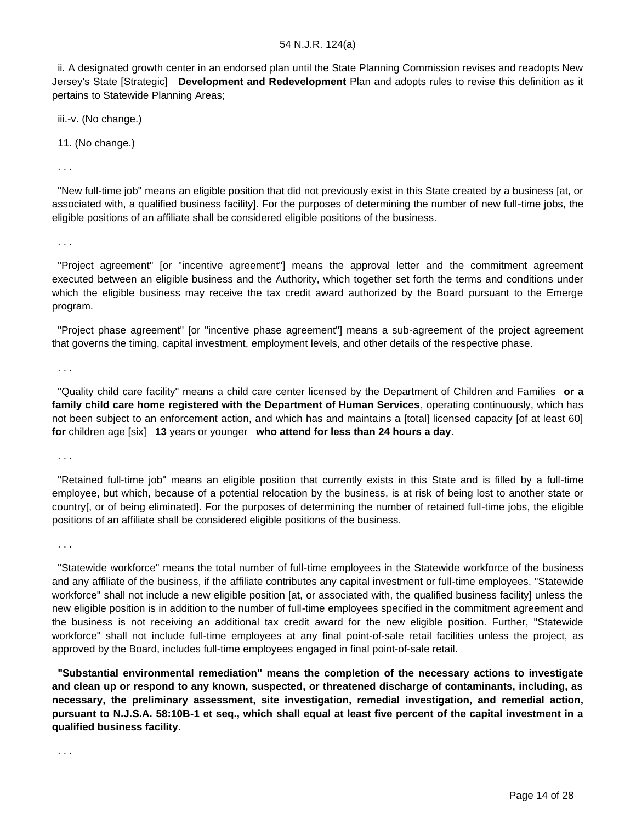ii. A designated growth center in an endorsed plan until the State Planning Commission revises and readopts New Jersey's State [Strategic] **Development and Redevelopment** Plan and adopts rules to revise this definition as it pertains to Statewide Planning Areas;

iii.-v. (No change.)

11. (No change.)

. . .

 "New full-time job" means an eligible position that did not previously exist in this State created by a business [at, or associated with, a qualified business facility]. For the purposes of determining the number of new full-time jobs, the eligible positions of an affiliate shall be considered eligible positions of the business.

. . .

 "Project agreement" [or "incentive agreement"] means the approval letter and the commitment agreement executed between an eligible business and the Authority, which together set forth the terms and conditions under which the eligible business may receive the tax credit award authorized by the Board pursuant to the Emerge program.

 "Project phase agreement" [or "incentive phase agreement"] means a sub-agreement of the project agreement that governs the timing, capital investment, employment levels, and other details of the respective phase.

. . .

 "Quality child care facility" means a child care center licensed by the Department of Children and Families **or a family child care home registered with the Department of Human Services**, operating continuously, which has not been subject to an enforcement action, and which has and maintains a [total] licensed capacity [of at least 60] **for** children age [six] **13** years or younger **who attend for less than 24 hours a day**.

. . .

 "Retained full-time job" means an eligible position that currently exists in this State and is filled by a full-time employee, but which, because of a potential relocation by the business, is at risk of being lost to another state or country[, or of being eliminated]. For the purposes of determining the number of retained full-time jobs, the eligible positions of an affiliate shall be considered eligible positions of the business.

. . .

. . .

 "Statewide workforce" means the total number of full-time employees in the Statewide workforce of the business and any affiliate of the business, if the affiliate contributes any capital investment or full-time employees. "Statewide workforce" shall not include a new eligible position [at, or associated with, the qualified business facility] unless the new eligible position is in addition to the number of full-time employees specified in the commitment agreement and the business is not receiving an additional tax credit award for the new eligible position. Further, "Statewide workforce" shall not include full-time employees at any final point-of-sale retail facilities unless the project, as approved by the Board, includes full-time employees engaged in final point-of-sale retail.

 **"Substantial environmental remediation" means the completion of the necessary actions to investigate and clean up or respond to any known, suspected, or threatened discharge of contaminants, including, as necessary, the preliminary assessment, site investigation, remedial investigation, and remedial action, pursuant to N.J.S.A. 58:10B-1 et seq., which shall equal at least five percent of the capital investment in a qualified business facility.**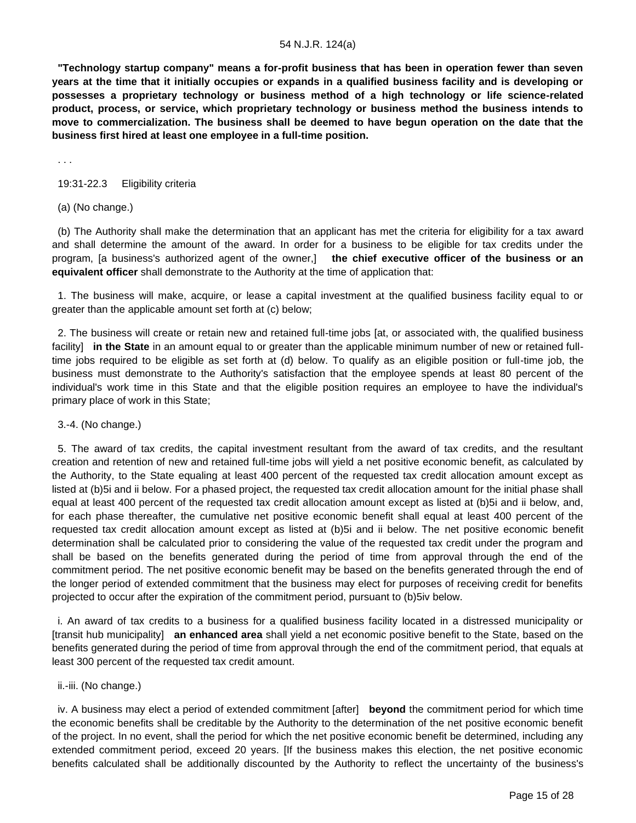**"Technology startup company" means a for-profit business that has been in operation fewer than seven years at the time that it initially occupies or expands in a qualified business facility and is developing or possesses a proprietary technology or business method of a high technology or life science-related product, process, or service, which proprietary technology or business method the business intends to move to commercialization. The business shall be deemed to have begun operation on the date that the business first hired at least one employee in a full-time position.**

. . .

#### 19:31-22.3 Eligibility criteria

#### (a) (No change.)

 (b) The Authority shall make the determination that an applicant has met the criteria for eligibility for a tax award and shall determine the amount of the award. In order for a business to be eligible for tax credits under the program, [a business's authorized agent of the owner,] **the chief executive officer of the business or an equivalent officer** shall demonstrate to the Authority at the time of application that:

 1. The business will make, acquire, or lease a capital investment at the qualified business facility equal to or greater than the applicable amount set forth at (c) below;

 2. The business will create or retain new and retained full-time jobs [at, or associated with, the qualified business facility] **in the State** in an amount equal to or greater than the applicable minimum number of new or retained fulltime jobs required to be eligible as set forth at (d) below. To qualify as an eligible position or full-time job, the business must demonstrate to the Authority's satisfaction that the employee spends at least 80 percent of the individual's work time in this State and that the eligible position requires an employee to have the individual's primary place of work in this State;

#### 3.-4. (No change.)

 5. The award of tax credits, the capital investment resultant from the award of tax credits, and the resultant creation and retention of new and retained full-time jobs will yield a net positive economic benefit, as calculated by the Authority, to the State equaling at least 400 percent of the requested tax credit allocation amount except as listed at (b)5i and ii below. For a phased project, the requested tax credit allocation amount for the initial phase shall equal at least 400 percent of the requested tax credit allocation amount except as listed at (b)5i and ii below, and, for each phase thereafter, the cumulative net positive economic benefit shall equal at least 400 percent of the requested tax credit allocation amount except as listed at (b)5i and ii below. The net positive economic benefit determination shall be calculated prior to considering the value of the requested tax credit under the program and shall be based on the benefits generated during the period of time from approval through the end of the commitment period. The net positive economic benefit may be based on the benefits generated through the end of the longer period of extended commitment that the business may elect for purposes of receiving credit for benefits projected to occur after the expiration of the commitment period, pursuant to (b)5iv below.

 i. An award of tax credits to a business for a qualified business facility located in a distressed municipality or [transit hub municipality] **an enhanced area** shall yield a net economic positive benefit to the State, based on the benefits generated during the period of time from approval through the end of the commitment period, that equals at least 300 percent of the requested tax credit amount.

#### ii.-iii. (No change.)

 iv. A business may elect a period of extended commitment [after] **beyond** the commitment period for which time the economic benefits shall be creditable by the Authority to the determination of the net positive economic benefit of the project. In no event, shall the period for which the net positive economic benefit be determined, including any extended commitment period, exceed 20 years. [If the business makes this election, the net positive economic benefits calculated shall be additionally discounted by the Authority to reflect the uncertainty of the business's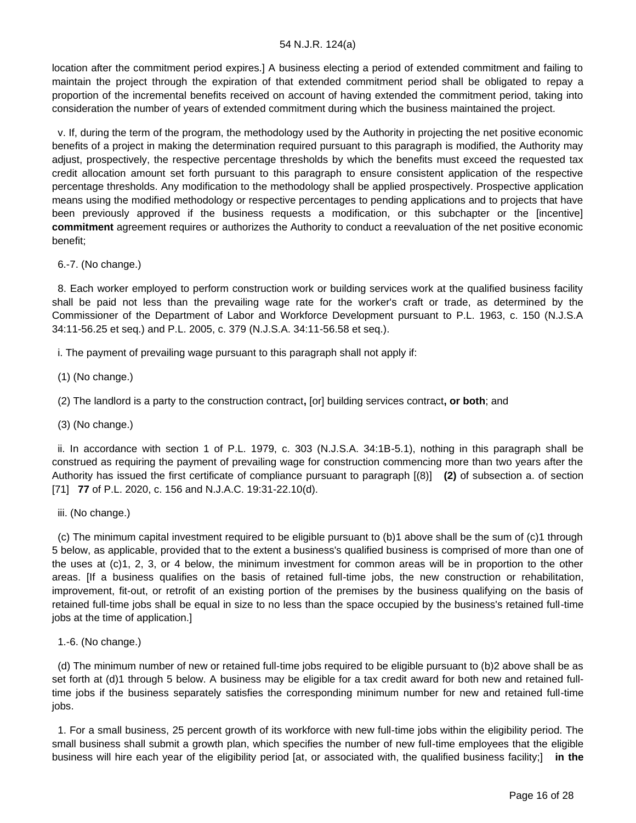location after the commitment period expires.] A business electing a period of extended commitment and failing to maintain the project through the expiration of that extended commitment period shall be obligated to repay a proportion of the incremental benefits received on account of having extended the commitment period, taking into consideration the number of years of extended commitment during which the business maintained the project.

 v. If, during the term of the program, the methodology used by the Authority in projecting the net positive economic benefits of a project in making the determination required pursuant to this paragraph is modified, the Authority may adjust, prospectively, the respective percentage thresholds by which the benefits must exceed the requested tax credit allocation amount set forth pursuant to this paragraph to ensure consistent application of the respective percentage thresholds. Any modification to the methodology shall be applied prospectively. Prospective application means using the modified methodology or respective percentages to pending applications and to projects that have been previously approved if the business requests a modification, or this subchapter or the [incentive] **commitment** agreement requires or authorizes the Authority to conduct a reevaluation of the net positive economic benefit;

6.-7. (No change.)

 8. Each worker employed to perform construction work or building services work at the qualified business facility shall be paid not less than the prevailing wage rate for the worker's craft or trade, as determined by the Commissioner of the Department of Labor and Workforce Development pursuant to P.L. 1963, c. 150 (N.J.S.A 34:11-56.25 et seq.) and P.L. 2005, c. 379 (N.J.S.A. 34:11-56.58 et seq.).

i. The payment of prevailing wage pursuant to this paragraph shall not apply if:

(1) (No change.)

(2) The landlord is a party to the construction contract**,** [or] building services contract**, or both**; and

(3) (No change.)

 ii. In accordance with section 1 of P.L. 1979, c. 303 (N.J.S.A. 34:1B-5.1), nothing in this paragraph shall be construed as requiring the payment of prevailing wage for construction commencing more than two years after the Authority has issued the first certificate of compliance pursuant to paragraph [(8)] **(2)** of subsection a. of section [71] **77** of P.L. 2020, c. 156 and N.J.A.C. 19:31-22.10(d).

iii. (No change.)

 (c) The minimum capital investment required to be eligible pursuant to (b)1 above shall be the sum of (c)1 through 5 below, as applicable, provided that to the extent a business's qualified business is comprised of more than one of the uses at (c)1, 2, 3, or 4 below, the minimum investment for common areas will be in proportion to the other areas. [If a business qualifies on the basis of retained full-time jobs, the new construction or rehabilitation, improvement, fit-out, or retrofit of an existing portion of the premises by the business qualifying on the basis of retained full-time jobs shall be equal in size to no less than the space occupied by the business's retained full-time jobs at the time of application.]

1.-6. (No change.)

 (d) The minimum number of new or retained full-time jobs required to be eligible pursuant to (b)2 above shall be as set forth at (d)1 through 5 below. A business may be eligible for a tax credit award for both new and retained fulltime jobs if the business separately satisfies the corresponding minimum number for new and retained full-time jobs.

 1. For a small business, 25 percent growth of its workforce with new full-time jobs within the eligibility period. The small business shall submit a growth plan, which specifies the number of new full-time employees that the eligible business will hire each year of the eligibility period [at, or associated with, the qualified business facility;] **in the**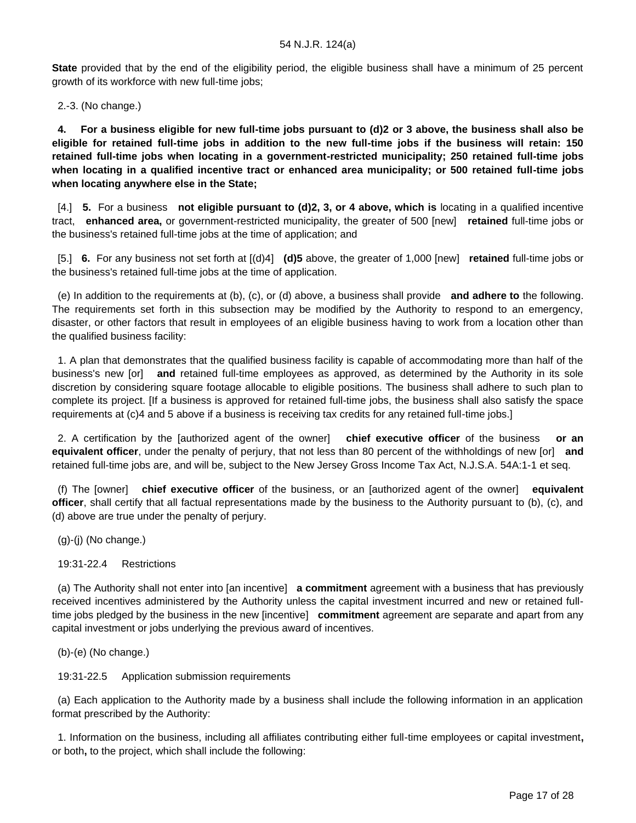**State** provided that by the end of the eligibility period, the eligible business shall have a minimum of 25 percent growth of its workforce with new full-time jobs;

2.-3. (No change.)

 **4. For a business eligible for new full-time jobs pursuant to (d)2 or 3 above, the business shall also be eligible for retained full-time jobs in addition to the new full-time jobs if the business will retain: 150 retained full-time jobs when locating in a government-restricted municipality; 250 retained full-time jobs when locating in a qualified incentive tract or enhanced area municipality; or 500 retained full-time jobs when locating anywhere else in the State;**

 [4.] **5.** For a business **not eligible pursuant to (d)2, 3, or 4 above, which is** locating in a qualified incentive tract, **enhanced area,** or government-restricted municipality, the greater of 500 [new] **retained** full-time jobs or the business's retained full-time jobs at the time of application; and

 [5.] **6.** For any business not set forth at [(d)4] **(d)5** above, the greater of 1,000 [new] **retained** full-time jobs or the business's retained full-time jobs at the time of application.

 (e) In addition to the requirements at (b), (c), or (d) above, a business shall provide **and adhere to** the following. The requirements set forth in this subsection may be modified by the Authority to respond to an emergency, disaster, or other factors that result in employees of an eligible business having to work from a location other than the qualified business facility:

 1. A plan that demonstrates that the qualified business facility is capable of accommodating more than half of the business's new [or] **and** retained full-time employees as approved, as determined by the Authority in its sole discretion by considering square footage allocable to eligible positions. The business shall adhere to such plan to complete its project. [If a business is approved for retained full-time jobs, the business shall also satisfy the space requirements at (c)4 and 5 above if a business is receiving tax credits for any retained full-time jobs.]

 2. A certification by the [authorized agent of the owner] **chief executive officer** of the business **or an equivalent officer**, under the penalty of perjury, that not less than 80 percent of the withholdings of new [or] **and** retained full-time jobs are, and will be, subject to the New Jersey Gross Income Tax Act, N.J.S.A. 54A:1-1 et seq.

 (f) The [owner] **chief executive officer** of the business, or an [authorized agent of the owner] **equivalent officer**, shall certify that all factual representations made by the business to the Authority pursuant to (b), (c), and (d) above are true under the penalty of perjury.

(g)-(j) (No change.)

19:31-22.4 Restrictions

 (a) The Authority shall not enter into [an incentive] **a commitment** agreement with a business that has previously received incentives administered by the Authority unless the capital investment incurred and new or retained fulltime jobs pledged by the business in the new [incentive] **commitment** agreement are separate and apart from any capital investment or jobs underlying the previous award of incentives.

(b)-(e) (No change.)

19:31-22.5 Application submission requirements

 (a) Each application to the Authority made by a business shall include the following information in an application format prescribed by the Authority:

 1. Information on the business, including all affiliates contributing either full-time employees or capital investment**,** or both**,** to the project, which shall include the following: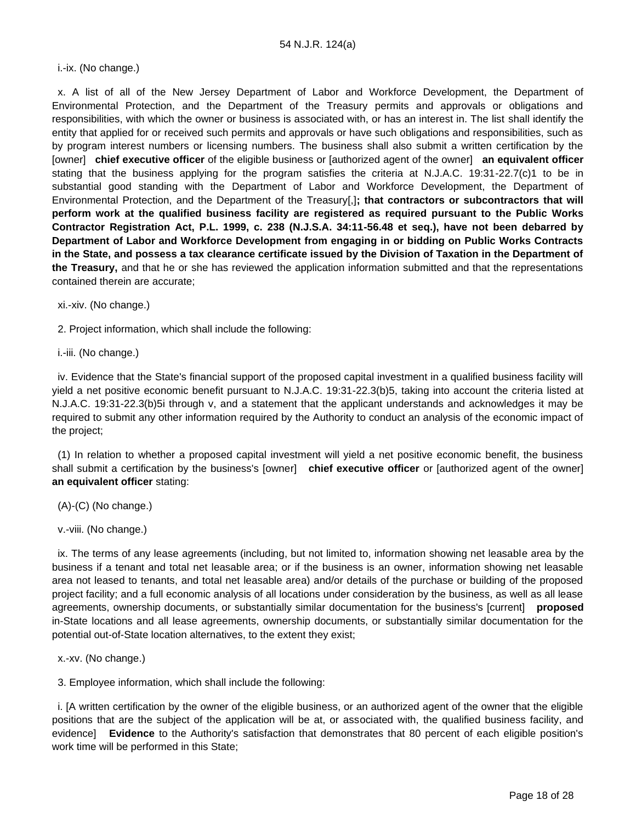i.-ix. (No change.)

 x. A list of all of the New Jersey Department of Labor and Workforce Development, the Department of Environmental Protection, and the Department of the Treasury permits and approvals or obligations and responsibilities, with which the owner or business is associated with, or has an interest in. The list shall identify the entity that applied for or received such permits and approvals or have such obligations and responsibilities, such as by program interest numbers or licensing numbers. The business shall also submit a written certification by the [owner] **chief executive officer** of the eligible business or [authorized agent of the owner] **an equivalent officer** stating that the business applying for the program satisfies the criteria at N.J.A.C. 19:31-22.7(c)1 to be in substantial good standing with the Department of Labor and Workforce Development, the Department of Environmental Protection, and the Department of the Treasury[,]**; that contractors or subcontractors that will perform work at the qualified business facility are registered as required pursuant to the Public Works Contractor Registration Act, P.L. 1999, c. 238 (N.J.S.A. 34:11-56.48 et seq.), have not been debarred by Department of Labor and Workforce Development from engaging in or bidding on Public Works Contracts in the State, and possess a tax clearance certificate issued by the Division of Taxation in the Department of the Treasury,** and that he or she has reviewed the application information submitted and that the representations contained therein are accurate;

xi.-xiv. (No change.)

2. Project information, which shall include the following:

i.-iii. (No change.)

 iv. Evidence that the State's financial support of the proposed capital investment in a qualified business facility will yield a net positive economic benefit pursuant to N.J.A.C. 19:31-22.3(b)5, taking into account the criteria listed at N.J.A.C. 19:31-22.3(b)5i through v, and a statement that the applicant understands and acknowledges it may be required to submit any other information required by the Authority to conduct an analysis of the economic impact of the project;

 (1) In relation to whether a proposed capital investment will yield a net positive economic benefit, the business shall submit a certification by the business's [owner] **chief executive officer** or [authorized agent of the owner] **an equivalent officer** stating:

(A)-(C) (No change.)

v.-viii. (No change.)

 ix. The terms of any lease agreements (including, but not limited to, information showing net leasable area by the business if a tenant and total net leasable area; or if the business is an owner, information showing net leasable area not leased to tenants, and total net leasable area) and/or details of the purchase or building of the proposed project facility; and a full economic analysis of all locations under consideration by the business, as well as all lease agreements, ownership documents, or substantially similar documentation for the business's [current] **proposed** in-State locations and all lease agreements, ownership documents, or substantially similar documentation for the potential out-of-State location alternatives, to the extent they exist;

x.-xv. (No change.)

3. Employee information, which shall include the following:

 i. [A written certification by the owner of the eligible business, or an authorized agent of the owner that the eligible positions that are the subject of the application will be at, or associated with, the qualified business facility, and evidence] **Evidence** to the Authority's satisfaction that demonstrates that 80 percent of each eligible position's work time will be performed in this State;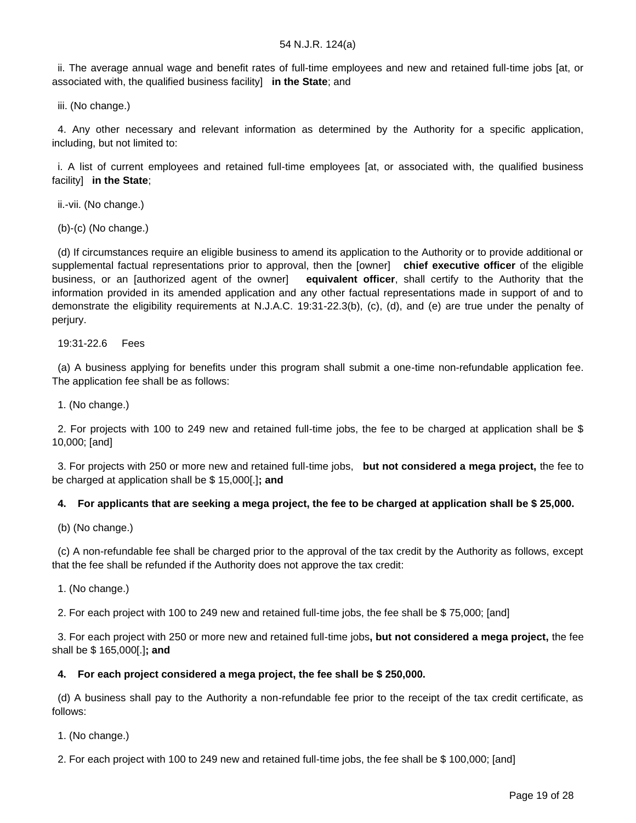ii. The average annual wage and benefit rates of full-time employees and new and retained full-time jobs [at, or associated with, the qualified business facility] **in the State**; and

iii. (No change.)

 4. Any other necessary and relevant information as determined by the Authority for a specific application, including, but not limited to:

 i. A list of current employees and retained full-time employees [at, or associated with, the qualified business facility] **in the State**;

ii.-vii. (No change.)

(b)-(c) (No change.)

 (d) If circumstances require an eligible business to amend its application to the Authority or to provide additional or supplemental factual representations prior to approval, then the [owner] **chief executive officer** of the eligible business, or an [authorized agent of the owner] **equivalent officer**, shall certify to the Authority that the information provided in its amended application and any other factual representations made in support of and to demonstrate the eligibility requirements at N.J.A.C. 19:31-22.3(b), (c), (d), and (e) are true under the penalty of perjury.

19:31-22.6 Fees

 (a) A business applying for benefits under this program shall submit a one-time non-refundable application fee. The application fee shall be as follows:

1. (No change.)

 2. For projects with 100 to 249 new and retained full-time jobs, the fee to be charged at application shall be \$ 10,000; [and]

 3. For projects with 250 or more new and retained full-time jobs, **but not considered a mega project,** the fee to be charged at application shall be \$ 15,000[.]**; and**

# **4. For applicants that are seeking a mega project, the fee to be charged at application shall be \$ 25,000.**

(b) (No change.)

 (c) A non-refundable fee shall be charged prior to the approval of the tax credit by the Authority as follows, except that the fee shall be refunded if the Authority does not approve the tax credit:

1. (No change.)

2. For each project with 100 to 249 new and retained full-time jobs, the fee shall be \$ 75,000; [and]

 3. For each project with 250 or more new and retained full-time jobs**, but not considered a mega project,** the fee shall be \$ 165,000[.]**; and**

#### **4. For each project considered a mega project, the fee shall be \$ 250,000.**

 (d) A business shall pay to the Authority a non-refundable fee prior to the receipt of the tax credit certificate, as follows:

1. (No change.)

2. For each project with 100 to 249 new and retained full-time jobs, the fee shall be \$ 100,000; [and]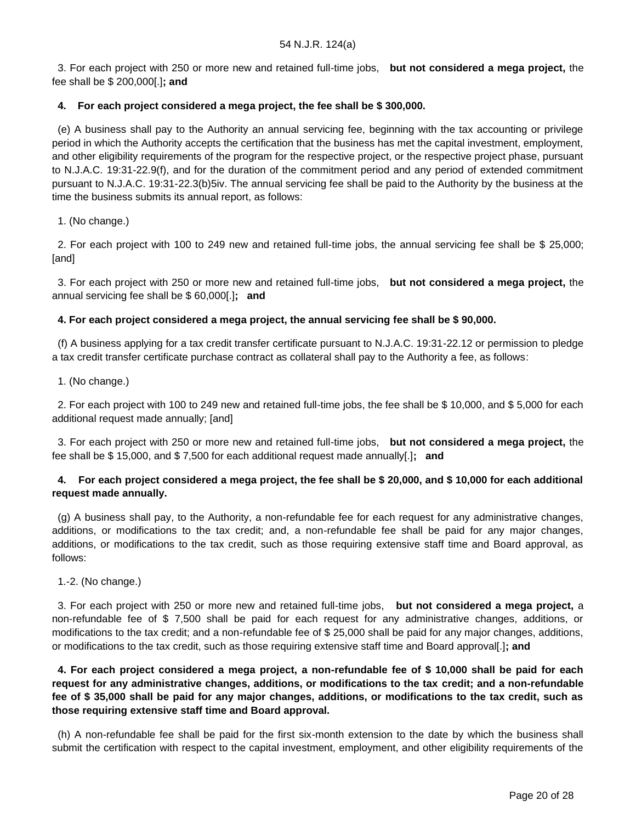3. For each project with 250 or more new and retained full-time jobs, **but not considered a mega project,** the fee shall be \$ 200,000[.]**; and**

# **4. For each project considered a mega project, the fee shall be \$ 300,000.**

 (e) A business shall pay to the Authority an annual servicing fee, beginning with the tax accounting or privilege period in which the Authority accepts the certification that the business has met the capital investment, employment, and other eligibility requirements of the program for the respective project, or the respective project phase, pursuant to N.J.A.C. 19:31-22.9(f), and for the duration of the commitment period and any period of extended commitment pursuant to N.J.A.C. 19:31-22.3(b)5iv. The annual servicing fee shall be paid to the Authority by the business at the time the business submits its annual report, as follows:

1. (No change.)

 2. For each project with 100 to 249 new and retained full-time jobs, the annual servicing fee shall be \$ 25,000; [and]

 3. For each project with 250 or more new and retained full-time jobs, **but not considered a mega project,** the annual servicing fee shall be \$ 60,000[.]**; and**

# **4. For each project considered a mega project, the annual servicing fee shall be \$ 90,000.**

 (f) A business applying for a tax credit transfer certificate pursuant to N.J.A.C. 19:31-22.12 or permission to pledge a tax credit transfer certificate purchase contract as collateral shall pay to the Authority a fee, as follows:

1. (No change.)

 2. For each project with 100 to 249 new and retained full-time jobs, the fee shall be \$ 10,000, and \$ 5,000 for each additional request made annually; [and]

 3. For each project with 250 or more new and retained full-time jobs, **but not considered a mega project,** the fee shall be \$ 15,000, and \$ 7,500 for each additional request made annually[.]**; and**

# **4. For each project considered a mega project, the fee shall be \$ 20,000, and \$ 10,000 for each additional request made annually.**

 (g) A business shall pay, to the Authority, a non-refundable fee for each request for any administrative changes, additions, or modifications to the tax credit; and, a non-refundable fee shall be paid for any major changes, additions, or modifications to the tax credit, such as those requiring extensive staff time and Board approval, as follows:

1.-2. (No change.)

 3. For each project with 250 or more new and retained full-time jobs, **but not considered a mega project,** a non-refundable fee of \$ 7,500 shall be paid for each request for any administrative changes, additions, or modifications to the tax credit; and a non-refundable fee of \$ 25,000 shall be paid for any major changes, additions, or modifications to the tax credit, such as those requiring extensive staff time and Board approval[.]**; and**

 **4. For each project considered a mega project, a non-refundable fee of \$ 10,000 shall be paid for each request for any administrative changes, additions, or modifications to the tax credit; and a non-refundable fee of \$ 35,000 shall be paid for any major changes, additions, or modifications to the tax credit, such as those requiring extensive staff time and Board approval.**

 (h) A non-refundable fee shall be paid for the first six-month extension to the date by which the business shall submit the certification with respect to the capital investment, employment, and other eligibility requirements of the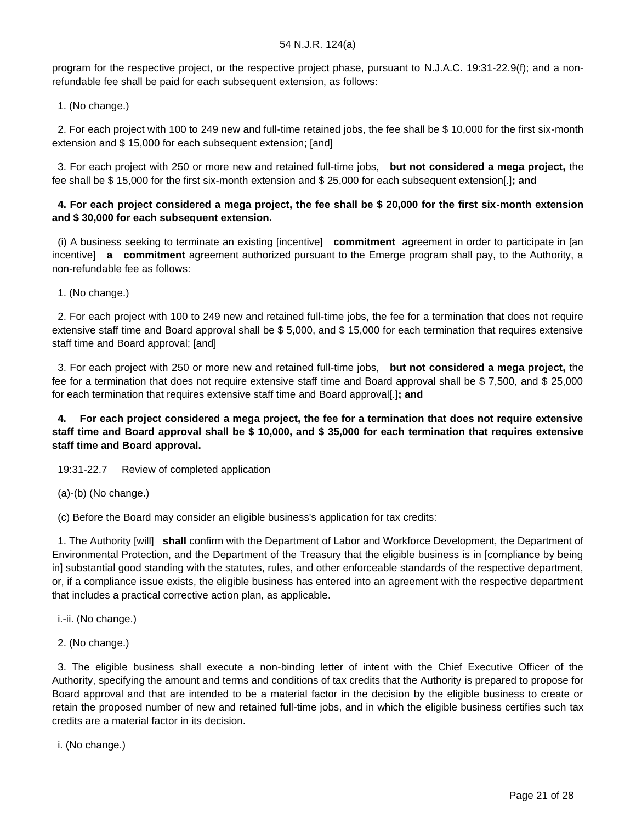program for the respective project, or the respective project phase, pursuant to N.J.A.C. 19:31-22.9(f); and a nonrefundable fee shall be paid for each subsequent extension, as follows:

1. (No change.)

 2. For each project with 100 to 249 new and full-time retained jobs, the fee shall be \$ 10,000 for the first six-month extension and \$ 15,000 for each subsequent extension; [and]

 3. For each project with 250 or more new and retained full-time jobs, **but not considered a mega project,** the fee shall be \$ 15,000 for the first six-month extension and \$ 25,000 for each subsequent extension[.]**; and**

# **4. For each project considered a mega project, the fee shall be \$ 20,000 for the first six-month extension and \$ 30,000 for each subsequent extension.**

 (i) A business seeking to terminate an existing [incentive] **commitment** agreement in order to participate in [an incentive] **a commitment** agreement authorized pursuant to the Emerge program shall pay, to the Authority, a non-refundable fee as follows:

1. (No change.)

 2. For each project with 100 to 249 new and retained full-time jobs, the fee for a termination that does not require extensive staff time and Board approval shall be \$ 5,000, and \$ 15,000 for each termination that requires extensive staff time and Board approval; [and]

 3. For each project with 250 or more new and retained full-time jobs, **but not considered a mega project,** the fee for a termination that does not require extensive staff time and Board approval shall be \$ 7,500, and \$ 25,000 for each termination that requires extensive staff time and Board approval[.]**; and**

# **4. For each project considered a mega project, the fee for a termination that does not require extensive staff time and Board approval shall be \$ 10,000, and \$ 35,000 for each termination that requires extensive staff time and Board approval.**

19:31-22.7 Review of completed application

(a)-(b) (No change.)

(c) Before the Board may consider an eligible business's application for tax credits:

 1. The Authority [will] **shall** confirm with the Department of Labor and Workforce Development, the Department of Environmental Protection, and the Department of the Treasury that the eligible business is in [compliance by being in] substantial good standing with the statutes, rules, and other enforceable standards of the respective department, or, if a compliance issue exists, the eligible business has entered into an agreement with the respective department that includes a practical corrective action plan, as applicable.

i.-ii. (No change.)

2. (No change.)

 3. The eligible business shall execute a non-binding letter of intent with the Chief Executive Officer of the Authority, specifying the amount and terms and conditions of tax credits that the Authority is prepared to propose for Board approval and that are intended to be a material factor in the decision by the eligible business to create or retain the proposed number of new and retained full-time jobs, and in which the eligible business certifies such tax credits are a material factor in its decision.

i. (No change.)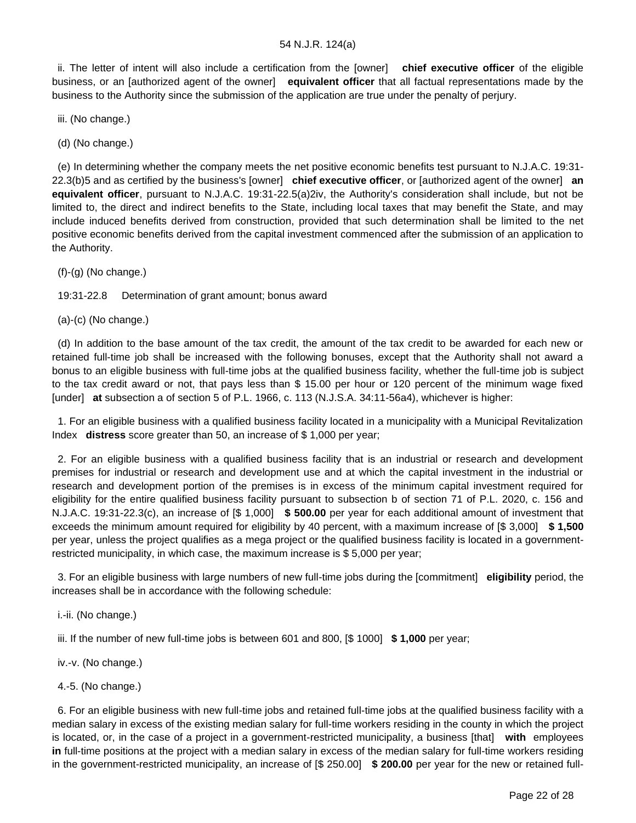ii. The letter of intent will also include a certification from the [owner] **chief executive officer** of the eligible business, or an [authorized agent of the owner] **equivalent officer** that all factual representations made by the business to the Authority since the submission of the application are true under the penalty of perjury.

iii. (No change.)

(d) (No change.)

 (e) In determining whether the company meets the net positive economic benefits test pursuant to N.J.A.C. 19:31- 22.3(b)5 and as certified by the business's [owner] **chief executive officer**, or [authorized agent of the owner] **an equivalent officer**, pursuant to N.J.A.C. 19:31-22.5(a)2iv, the Authority's consideration shall include, but not be limited to, the direct and indirect benefits to the State, including local taxes that may benefit the State, and may include induced benefits derived from construction, provided that such determination shall be limited to the net positive economic benefits derived from the capital investment commenced after the submission of an application to the Authority.

 $(f)-(g)$  (No change.)

19:31-22.8 Determination of grant amount; bonus award

(a)-(c) (No change.)

 (d) In addition to the base amount of the tax credit, the amount of the tax credit to be awarded for each new or retained full-time job shall be increased with the following bonuses, except that the Authority shall not award a bonus to an eligible business with full-time jobs at the qualified business facility, whether the full-time job is subject to the tax credit award or not, that pays less than \$ 15.00 per hour or 120 percent of the minimum wage fixed [under] **at** subsection a of section 5 of P.L. 1966, c. 113 (N.J.S.A. 34:11-56a4), whichever is higher:

 1. For an eligible business with a qualified business facility located in a municipality with a Municipal Revitalization Index **distress** score greater than 50, an increase of \$ 1,000 per year;

 2. For an eligible business with a qualified business facility that is an industrial or research and development premises for industrial or research and development use and at which the capital investment in the industrial or research and development portion of the premises is in excess of the minimum capital investment required for eligibility for the entire qualified business facility pursuant to subsection b of section 71 of P.L. 2020, c. 156 and N.J.A.C. 19:31-22.3(c), an increase of [\$ 1,000] **\$ 500.00** per year for each additional amount of investment that exceeds the minimum amount required for eligibility by 40 percent, with a maximum increase of [\$ 3,000] **\$ 1,500** per year, unless the project qualifies as a mega project or the qualified business facility is located in a governmentrestricted municipality, in which case, the maximum increase is \$ 5,000 per year;

 3. For an eligible business with large numbers of new full-time jobs during the [commitment] **eligibility** period, the increases shall be in accordance with the following schedule:

i.-ii. (No change.)

iii. If the number of new full-time jobs is between 601 and 800, [\$ 1000] **\$ 1,000** per year;

iv.-v. (No change.)

4.-5. (No change.)

 6. For an eligible business with new full-time jobs and retained full-time jobs at the qualified business facility with a median salary in excess of the existing median salary for full-time workers residing in the county in which the project is located, or, in the case of a project in a government-restricted municipality, a business [that] **with** employees **in** full-time positions at the project with a median salary in excess of the median salary for full-time workers residing in the government-restricted municipality, an increase of [\$ 250.00] **\$ 200.00** per year for the new or retained full-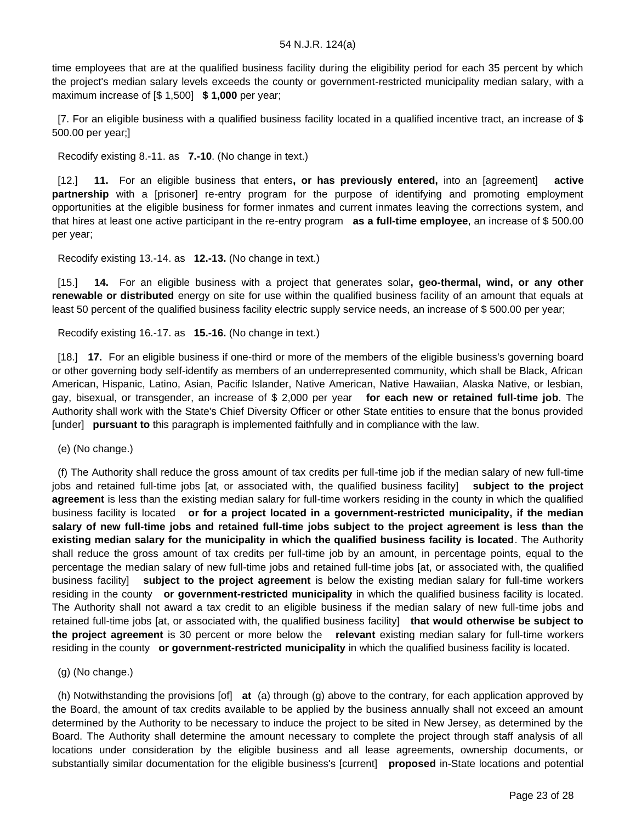time employees that are at the qualified business facility during the eligibility period for each 35 percent by which the project's median salary levels exceeds the county or government-restricted municipality median salary, with a maximum increase of [\$ 1,500] **\$ 1,000** per year;

 [7. For an eligible business with a qualified business facility located in a qualified incentive tract, an increase of \$ 500.00 per year;]

Recodify existing 8.-11. as **7.-10**. (No change in text.)

 [12.] **11.** For an eligible business that enters**, or has previously entered,** into an [agreement] **active partnership** with a [prisoner] re-entry program for the purpose of identifying and promoting employment opportunities at the eligible business for former inmates and current inmates leaving the corrections system, and that hires at least one active participant in the re-entry program **as a full-time employee**, an increase of \$ 500.00 per year;

Recodify existing 13.-14. as **12.-13.** (No change in text.)

 [15.] **14.** For an eligible business with a project that generates solar**, geo-thermal, wind, or any other renewable or distributed** energy on site for use within the qualified business facility of an amount that equals at least 50 percent of the qualified business facility electric supply service needs, an increase of \$ 500.00 per year;

Recodify existing 16.-17. as **15.-16.** (No change in text.)

 [18.] **17.** For an eligible business if one-third or more of the members of the eligible business's governing board or other governing body self-identify as members of an underrepresented community, which shall be Black, African American, Hispanic, Latino, Asian, Pacific Islander, Native American, Native Hawaiian, Alaska Native, or lesbian, gay, bisexual, or transgender, an increase of \$ 2,000 per year **for each new or retained full-time job**. The Authority shall work with the State's Chief Diversity Officer or other State entities to ensure that the bonus provided [under] **pursuant to** this paragraph is implemented faithfully and in compliance with the law.

(e) (No change.)

 (f) The Authority shall reduce the gross amount of tax credits per full-time job if the median salary of new full-time jobs and retained full-time jobs [at, or associated with, the qualified business facility] **subject to the project agreement** is less than the existing median salary for full-time workers residing in the county in which the qualified business facility is located **or for a project located in a government-restricted municipality, if the median salary of new full-time jobs and retained full-time jobs subject to the project agreement is less than the existing median salary for the municipality in which the qualified business facility is located**. The Authority shall reduce the gross amount of tax credits per full-time job by an amount, in percentage points, equal to the percentage the median salary of new full-time jobs and retained full-time jobs [at, or associated with, the qualified business facility] **subject to the project agreement** is below the existing median salary for full-time workers residing in the county **or government-restricted municipality** in which the qualified business facility is located. The Authority shall not award a tax credit to an eligible business if the median salary of new full-time jobs and retained full-time jobs [at, or associated with, the qualified business facility] **that would otherwise be subject to the project agreement** is 30 percent or more below the **relevant** existing median salary for full-time workers residing in the county **or government-restricted municipality** in which the qualified business facility is located.

(g) (No change.)

 (h) Notwithstanding the provisions [of] **at** (a) through (g) above to the contrary, for each application approved by the Board, the amount of tax credits available to be applied by the business annually shall not exceed an amount determined by the Authority to be necessary to induce the project to be sited in New Jersey, as determined by the Board. The Authority shall determine the amount necessary to complete the project through staff analysis of all locations under consideration by the eligible business and all lease agreements, ownership documents, or substantially similar documentation for the eligible business's [current] **proposed** in-State locations and potential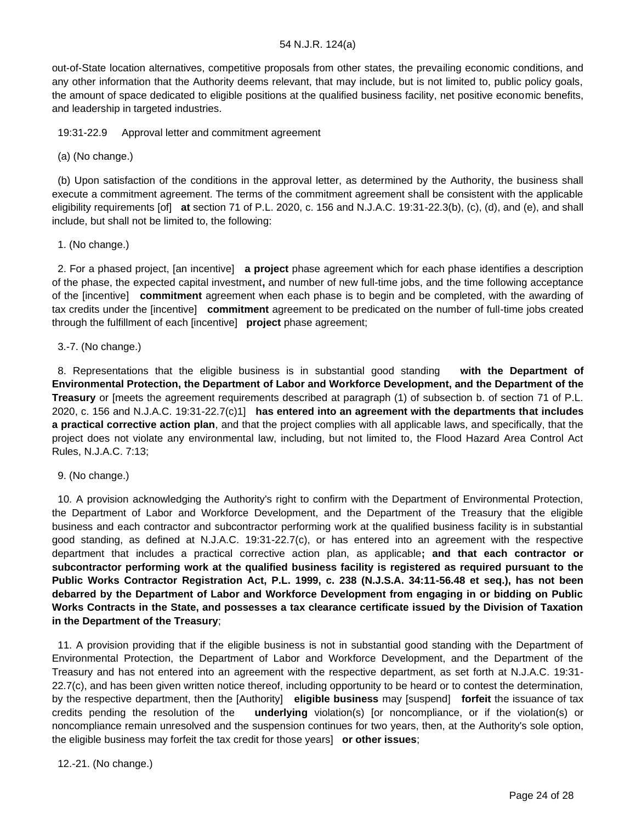out-of-State location alternatives, competitive proposals from other states, the prevailing economic conditions, and any other information that the Authority deems relevant, that may include, but is not limited to, public policy goals, the amount of space dedicated to eligible positions at the qualified business facility, net positive economic benefits, and leadership in targeted industries.

19:31-22.9 Approval letter and commitment agreement

(a) (No change.)

 (b) Upon satisfaction of the conditions in the approval letter, as determined by the Authority, the business shall execute a commitment agreement. The terms of the commitment agreement shall be consistent with the applicable eligibility requirements [of] **at** section 71 of P.L. 2020, c. 156 and N.J.A.C. 19:31-22.3(b), (c), (d), and (e), and shall include, but shall not be limited to, the following:

1. (No change.)

 2. For a phased project, [an incentive] **a project** phase agreement which for each phase identifies a description of the phase, the expected capital investment**,** and number of new full-time jobs, and the time following acceptance of the [incentive] **commitment** agreement when each phase is to begin and be completed, with the awarding of tax credits under the [incentive] **commitment** agreement to be predicated on the number of full-time jobs created through the fulfillment of each [incentive] **project** phase agreement;

3.-7. (No change.)

 8. Representations that the eligible business is in substantial good standing **with the Department of Environmental Protection, the Department of Labor and Workforce Development, and the Department of the Treasury** or [meets the agreement requirements described at paragraph (1) of subsection b. of section 71 of P.L. 2020, c. 156 and N.J.A.C. 19:31-22.7(c)1] **has entered into an agreement with the departments that includes a practical corrective action plan**, and that the project complies with all applicable laws, and specifically, that the project does not violate any environmental law, including, but not limited to, the Flood Hazard Area Control Act Rules, N.J.A.C. 7:13;

9. (No change.)

 10. A provision acknowledging the Authority's right to confirm with the Department of Environmental Protection, the Department of Labor and Workforce Development, and the Department of the Treasury that the eligible business and each contractor and subcontractor performing work at the qualified business facility is in substantial good standing, as defined at N.J.A.C. 19:31-22.7(c), or has entered into an agreement with the respective department that includes a practical corrective action plan, as applicable**; and that each contractor or subcontractor performing work at the qualified business facility is registered as required pursuant to the Public Works Contractor Registration Act, P.L. 1999, c. 238 (N.J.S.A. 34:11-56.48 et seq.), has not been debarred by the Department of Labor and Workforce Development from engaging in or bidding on Public Works Contracts in the State, and possesses a tax clearance certificate issued by the Division of Taxation in the Department of the Treasury**;

 11. A provision providing that if the eligible business is not in substantial good standing with the Department of Environmental Protection, the Department of Labor and Workforce Development, and the Department of the Treasury and has not entered into an agreement with the respective department, as set forth at N.J.A.C. 19:31- 22.7(c), and has been given written notice thereof, including opportunity to be heard or to contest the determination, by the respective department, then the [Authority] **eligible business** may [suspend] **forfeit** the issuance of tax credits pending the resolution of the **underlying** violation(s) [or noncompliance, or if the violation(s) or noncompliance remain unresolved and the suspension continues for two years, then, at the Authority's sole option, the eligible business may forfeit the tax credit for those years] **or other issues**;

12.-21. (No change.)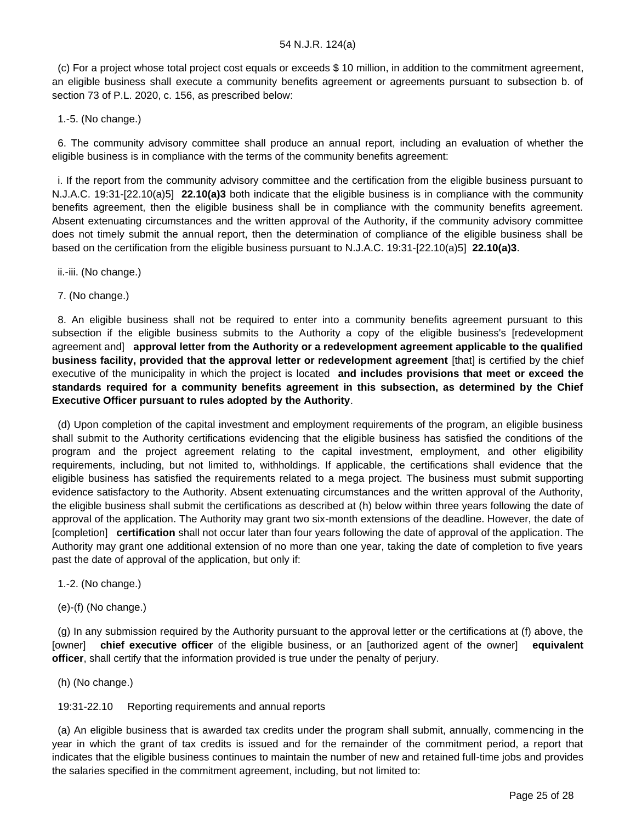(c) For a project whose total project cost equals or exceeds \$ 10 million, in addition to the commitment agreement, an eligible business shall execute a community benefits agreement or agreements pursuant to subsection b. of section 73 of P.L. 2020, c. 156, as prescribed below:

1.-5. (No change.)

 6. The community advisory committee shall produce an annual report, including an evaluation of whether the eligible business is in compliance with the terms of the community benefits agreement:

 i. If the report from the community advisory committee and the certification from the eligible business pursuant to N.J.A.C. 19:31-[22.10(a)5] **22.10(a)3** both indicate that the eligible business is in compliance with the community benefits agreement, then the eligible business shall be in compliance with the community benefits agreement. Absent extenuating circumstances and the written approval of the Authority, if the community advisory committee does not timely submit the annual report, then the determination of compliance of the eligible business shall be based on the certification from the eligible business pursuant to N.J.A.C. 19:31-[22.10(a)5] **22.10(a)3**.

ii.-iii. (No change.)

7. (No change.)

 8. An eligible business shall not be required to enter into a community benefits agreement pursuant to this subsection if the eligible business submits to the Authority a copy of the eligible business's [redevelopment agreement and] **approval letter from the Authority or a redevelopment agreement applicable to the qualified business facility, provided that the approval letter or redevelopment agreement** [that] is certified by the chief executive of the municipality in which the project is located **and includes provisions that meet or exceed the standards required for a community benefits agreement in this subsection, as determined by the Chief Executive Officer pursuant to rules adopted by the Authority**.

 (d) Upon completion of the capital investment and employment requirements of the program, an eligible business shall submit to the Authority certifications evidencing that the eligible business has satisfied the conditions of the program and the project agreement relating to the capital investment, employment, and other eligibility requirements, including, but not limited to, withholdings. If applicable, the certifications shall evidence that the eligible business has satisfied the requirements related to a mega project. The business must submit supporting evidence satisfactory to the Authority. Absent extenuating circumstances and the written approval of the Authority, the eligible business shall submit the certifications as described at (h) below within three years following the date of approval of the application. The Authority may grant two six-month extensions of the deadline. However, the date of [completion] **certification** shall not occur later than four years following the date of approval of the application. The Authority may grant one additional extension of no more than one year, taking the date of completion to five years past the date of approval of the application, but only if:

1.-2. (No change.)

(e)-(f) (No change.)

 (g) In any submission required by the Authority pursuant to the approval letter or the certifications at (f) above, the [owner] **chief executive officer** of the eligible business, or an [authorized agent of the owner] **equivalent officer**, shall certify that the information provided is true under the penalty of perjury.

(h) (No change.)

19:31-22.10 Reporting requirements and annual reports

 (a) An eligible business that is awarded tax credits under the program shall submit, annually, commencing in the year in which the grant of tax credits is issued and for the remainder of the commitment period, a report that indicates that the eligible business continues to maintain the number of new and retained full-time jobs and provides the salaries specified in the commitment agreement, including, but not limited to: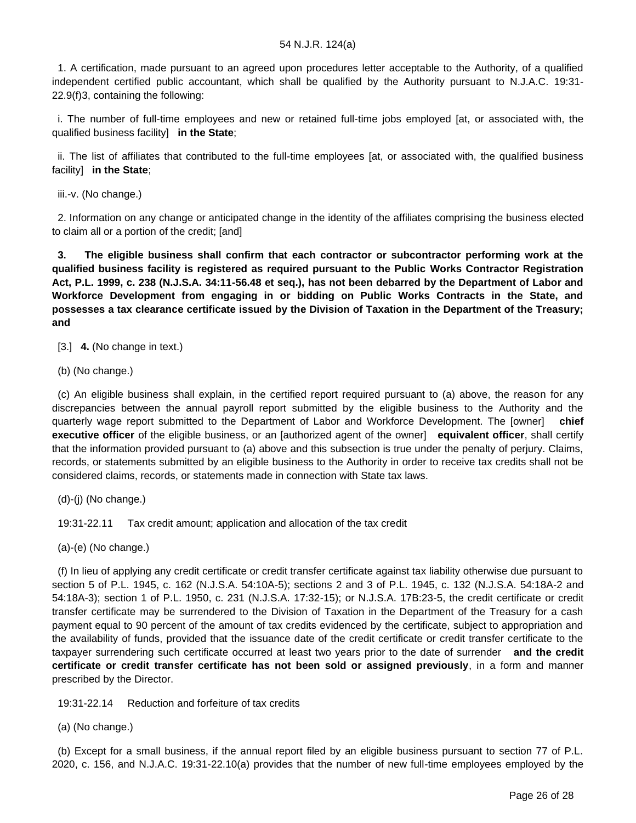1. A certification, made pursuant to an agreed upon procedures letter acceptable to the Authority, of a qualified independent certified public accountant, which shall be qualified by the Authority pursuant to N.J.A.C. 19:31- 22.9(f)3, containing the following:

 i. The number of full-time employees and new or retained full-time jobs employed [at, or associated with, the qualified business facility] **in the State**;

 ii. The list of affiliates that contributed to the full-time employees [at, or associated with, the qualified business facility] **in the State**;

iii.-v. (No change.)

 2. Information on any change or anticipated change in the identity of the affiliates comprising the business elected to claim all or a portion of the credit; [and]

 **3. The eligible business shall confirm that each contractor or subcontractor performing work at the qualified business facility is registered as required pursuant to the Public Works Contractor Registration Act, P.L. 1999, c. 238 (N.J.S.A. 34:11-56.48 et seq.), has not been debarred by the Department of Labor and Workforce Development from engaging in or bidding on Public Works Contracts in the State, and possesses a tax clearance certificate issued by the Division of Taxation in the Department of the Treasury; and**

[3.] **4.** (No change in text.)

(b) (No change.)

 (c) An eligible business shall explain, in the certified report required pursuant to (a) above, the reason for any discrepancies between the annual payroll report submitted by the eligible business to the Authority and the quarterly wage report submitted to the Department of Labor and Workforce Development. The [owner] **chief executive officer** of the eligible business, or an [authorized agent of the owner] **equivalent officer**, shall certify that the information provided pursuant to (a) above and this subsection is true under the penalty of perjury. Claims, records, or statements submitted by an eligible business to the Authority in order to receive tax credits shall not be considered claims, records, or statements made in connection with State tax laws.

(d)-(j) (No change.)

19:31-22.11 Tax credit amount; application and allocation of the tax credit

(a)-(e) (No change.)

 (f) In lieu of applying any credit certificate or credit transfer certificate against tax liability otherwise due pursuant to section 5 of P.L. 1945, c. 162 (N.J.S.A. 54:10A-5); sections 2 and 3 of P.L. 1945, c. 132 (N.J.S.A. 54:18A-2 and 54:18A-3); section 1 of P.L. 1950, c. 231 (N.J.S.A. 17:32-15); or N.J.S.A. 17B:23-5, the credit certificate or credit transfer certificate may be surrendered to the Division of Taxation in the Department of the Treasury for a cash payment equal to 90 percent of the amount of tax credits evidenced by the certificate, subject to appropriation and the availability of funds, provided that the issuance date of the credit certificate or credit transfer certificate to the taxpayer surrendering such certificate occurred at least two years prior to the date of surrender **and the credit certificate or credit transfer certificate has not been sold or assigned previously**, in a form and manner prescribed by the Director.

19:31-22.14 Reduction and forfeiture of tax credits

(a) (No change.)

 (b) Except for a small business, if the annual report filed by an eligible business pursuant to section 77 of P.L. 2020, c. 156, and N.J.A.C. 19:31-22.10(a) provides that the number of new full-time employees employed by the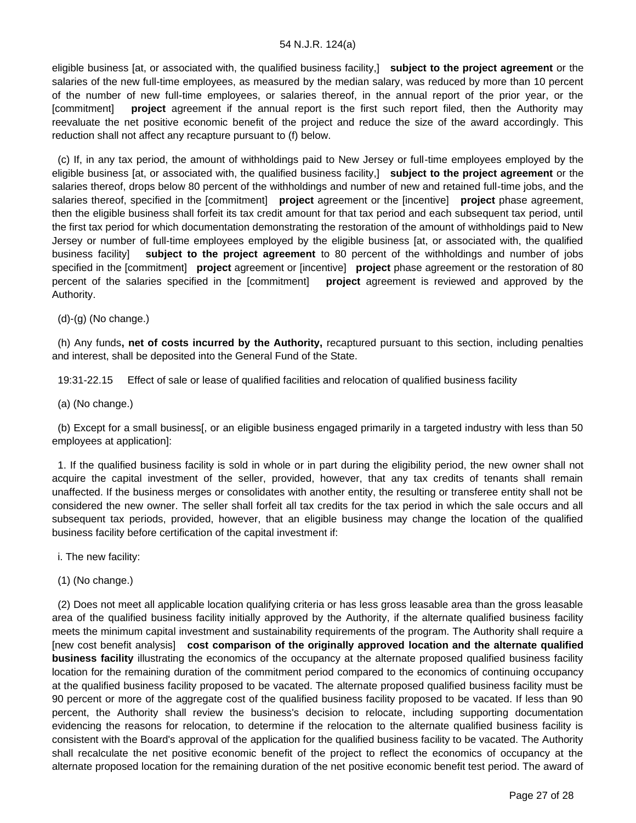eligible business [at, or associated with, the qualified business facility,] **subject to the project agreement** or the salaries of the new full-time employees, as measured by the median salary, was reduced by more than 10 percent of the number of new full-time employees, or salaries thereof, in the annual report of the prior year, or the [commitment] **project** agreement if the annual report is the first such report filed, then the Authority may reevaluate the net positive economic benefit of the project and reduce the size of the award accordingly. This reduction shall not affect any recapture pursuant to (f) below.

 (c) If, in any tax period, the amount of withholdings paid to New Jersey or full-time employees employed by the eligible business [at, or associated with, the qualified business facility,] **subject to the project agreement** or the salaries thereof, drops below 80 percent of the withholdings and number of new and retained full-time jobs, and the salaries thereof, specified in the [commitment] **project** agreement or the [incentive] **project** phase agreement, then the eligible business shall forfeit its tax credit amount for that tax period and each subsequent tax period, until the first tax period for which documentation demonstrating the restoration of the amount of withholdings paid to New Jersey or number of full-time employees employed by the eligible business [at, or associated with, the qualified business facility] **subject to the project agreement** to 80 percent of the withholdings and number of jobs specified in the [commitment] **project** agreement or [incentive] **project** phase agreement or the restoration of 80 percent of the salaries specified in the [commitment] **project** agreement is reviewed and approved by the Authority.

(d)-(g) (No change.)

 (h) Any funds**, net of costs incurred by the Authority,** recaptured pursuant to this section, including penalties and interest, shall be deposited into the General Fund of the State.

19:31-22.15 Effect of sale or lease of qualified facilities and relocation of qualified business facility

(a) (No change.)

 (b) Except for a small business[, or an eligible business engaged primarily in a targeted industry with less than 50 employees at application]:

 1. If the qualified business facility is sold in whole or in part during the eligibility period, the new owner shall not acquire the capital investment of the seller, provided, however, that any tax credits of tenants shall remain unaffected. If the business merges or consolidates with another entity, the resulting or transferee entity shall not be considered the new owner. The seller shall forfeit all tax credits for the tax period in which the sale occurs and all subsequent tax periods, provided, however, that an eligible business may change the location of the qualified business facility before certification of the capital investment if:

i. The new facility:

(1) (No change.)

 (2) Does not meet all applicable location qualifying criteria or has less gross leasable area than the gross leasable area of the qualified business facility initially approved by the Authority, if the alternate qualified business facility meets the minimum capital investment and sustainability requirements of the program. The Authority shall require a [new cost benefit analysis] **cost comparison of the originally approved location and the alternate qualified business facility** illustrating the economics of the occupancy at the alternate proposed qualified business facility location for the remaining duration of the commitment period compared to the economics of continuing occupancy at the qualified business facility proposed to be vacated. The alternate proposed qualified business facility must be 90 percent or more of the aggregate cost of the qualified business facility proposed to be vacated. If less than 90 percent, the Authority shall review the business's decision to relocate, including supporting documentation evidencing the reasons for relocation, to determine if the relocation to the alternate qualified business facility is consistent with the Board's approval of the application for the qualified business facility to be vacated. The Authority shall recalculate the net positive economic benefit of the project to reflect the economics of occupancy at the alternate proposed location for the remaining duration of the net positive economic benefit test period. The award of